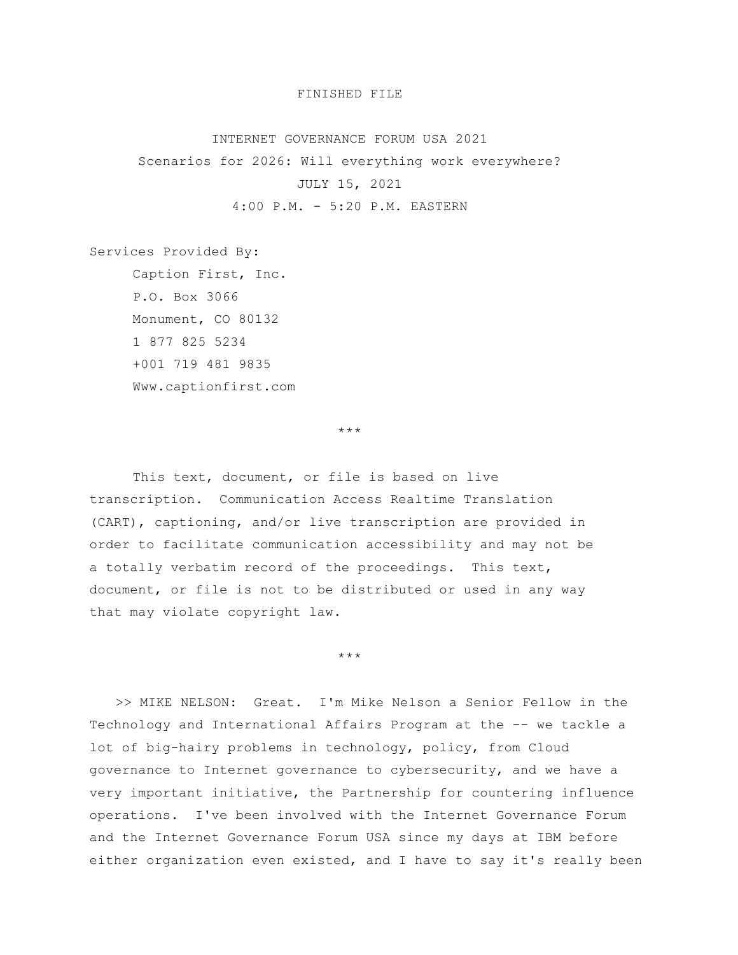## FINISHED FILE

## INTERNET GOVERNANCE FORUM USA 2021

Scenarios for 2026: Will everything work everywhere? JULY 15, 2021 4:00 P.M. - 5:20 P.M. EASTERN

Services Provided By: Caption First, Inc. P.O. Box 3066 Monument, CO 80132 1 877 825 5234 +001 719 481 9835 Www.captionfirst.com

\*\*\*

This text, document, or file is based on live transcription. Communication Access Realtime Translation (CART), captioning, and/or live transcription are provided in order to facilitate communication accessibility and may not be a totally verbatim record of the proceedings. This text, document, or file is not to be distributed or used in any way that may violate copyright law.

\*\*\*

>> MIKE NELSON: Great. I'm Mike Nelson a Senior Fellow in the Technology and International Affairs Program at the -- we tackle a lot of big-hairy problems in technology, policy, from Cloud governance to Internet governance to cybersecurity, and we have a very important initiative, the Partnership for countering influence operations. I've been involved with the Internet Governance Forum and the Internet Governance Forum USA since my days at IBM before either organization even existed, and I have to say it's really been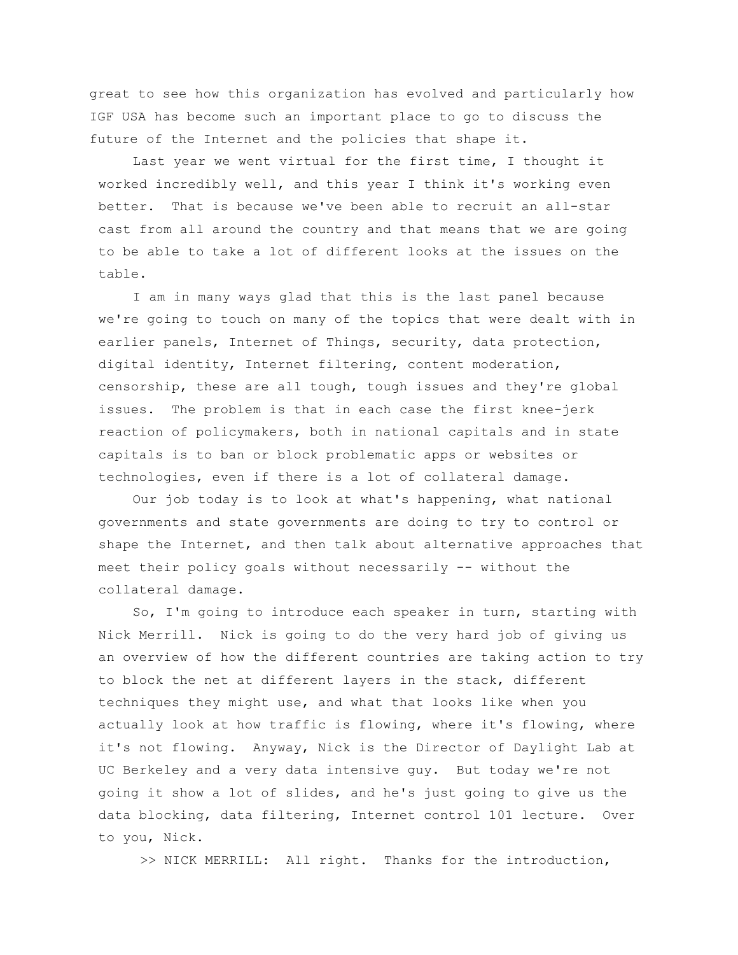great to see how this organization has evolved and particularly how IGF USA has become such an important place to go to discuss the future of the Internet and the policies that shape it.

Last year we went virtual for the first time, I thought it worked incredibly well, and this year I think it's working even better. That is because we've been able to recruit an all-star cast from all around the country and that means that we are going to be able to take a lot of different looks at the issues on the table.

I am in many ways glad that this is the last panel because we're going to touch on many of the topics that were dealt with in earlier panels, Internet of Things, security, data protection, digital identity, Internet filtering, content moderation, censorship, these are all tough, tough issues and they're global issues. The problem is that in each case the first knee-jerk reaction of policymakers, both in national capitals and in state capitals is to ban or block problematic apps or websites or technologies, even if there is a lot of collateral damage.

Our job today is to look at what's happening, what national governments and state governments are doing to try to control or shape the Internet, and then talk about alternative approaches that meet their policy goals without necessarily -- without the collateral damage.

So, I'm going to introduce each speaker in turn, starting with Nick Merrill. Nick is going to do the very hard job of giving us an overview of how the different countries are taking action to try to block the net at different layers in the stack, different techniques they might use, and what that looks like when you actually look at how traffic is flowing, where it's flowing, where it's not flowing. Anyway, Nick is the Director of Daylight Lab at UC Berkeley and a very data intensive guy. But today we're not going it show a lot of slides, and he's just going to give us the data blocking, data filtering, Internet control 101 lecture. Over to you, Nick.

>> NICK MERRILL: All right. Thanks for the introduction,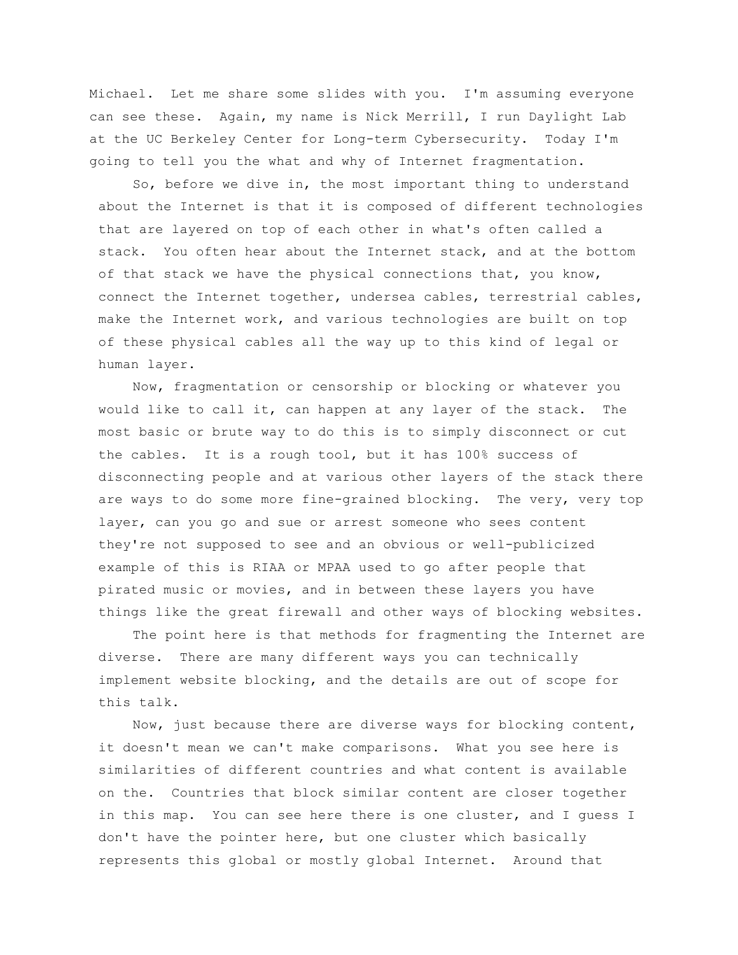Michael. Let me share some slides with you. I'm assuming everyone can see these. Again, my name is Nick Merrill, I run Daylight Lab at the UC Berkeley Center for Long-term Cybersecurity. Today I'm going to tell you the what and why of Internet fragmentation.

So, before we dive in, the most important thing to understand about the Internet is that it is composed of different technologies that are layered on top of each other in what's often called a stack. You often hear about the Internet stack, and at the bottom of that stack we have the physical connections that, you know, connect the Internet together, undersea cables, terrestrial cables, make the Internet work, and various technologies are built on top of these physical cables all the way up to this kind of legal or human layer.

Now, fragmentation or censorship or blocking or whatever you would like to call it, can happen at any layer of the stack. The most basic or brute way to do this is to simply disconnect or cut the cables. It is a rough tool, but it has 100% success of disconnecting people and at various other layers of the stack there are ways to do some more fine-grained blocking. The very, very top layer, can you go and sue or arrest someone who sees content they're not supposed to see and an obvious or well-publicized example of this is RIAA or MPAA used to go after people that pirated music or movies, and in between these layers you have things like the great firewall and other ways of blocking websites.

The point here is that methods for fragmenting the Internet are diverse. There are many different ways you can technically implement website blocking, and the details are out of scope for this talk.

Now, just because there are diverse ways for blocking content, it doesn't mean we can't make comparisons. What you see here is similarities of different countries and what content is available on the. Countries that block similar content are closer together in this map. You can see here there is one cluster, and I guess I don't have the pointer here, but one cluster which basically represents this global or mostly global Internet. Around that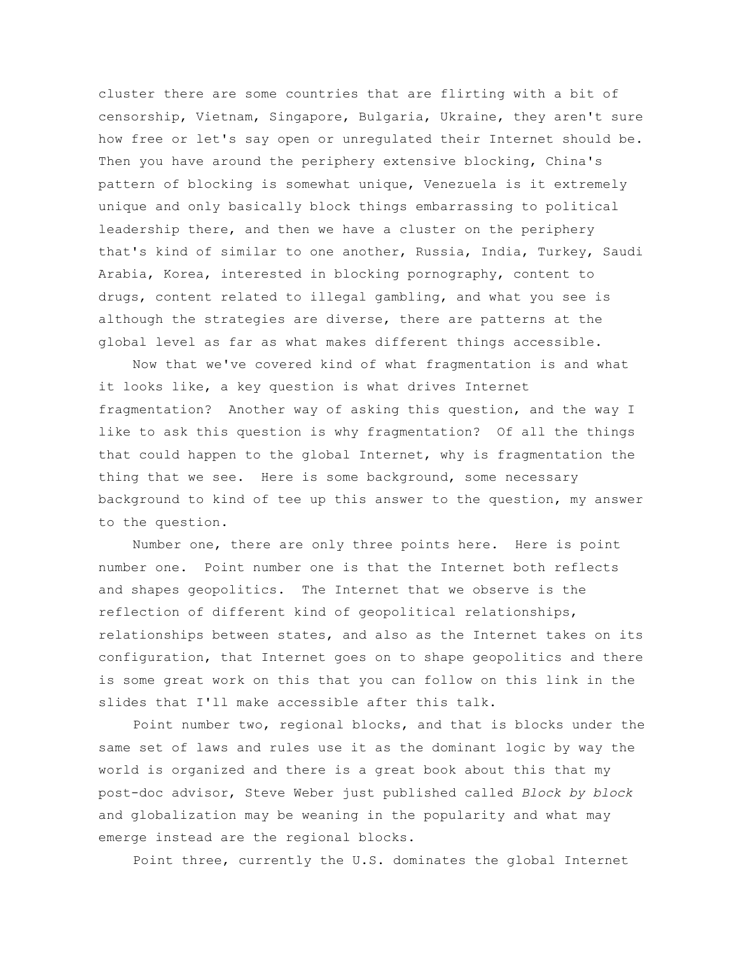cluster there are some countries that are flirting with a bit of censorship, Vietnam, Singapore, Bulgaria, Ukraine, they aren't sure how free or let's say open or unregulated their Internet should be. Then you have around the periphery extensive blocking, China's pattern of blocking is somewhat unique, Venezuela is it extremely unique and only basically block things embarrassing to political leadership there, and then we have a cluster on the periphery that's kind of similar to one another, Russia, India, Turkey, Saudi Arabia, Korea, interested in blocking pornography, content to drugs, content related to illegal gambling, and what you see is although the strategies are diverse, there are patterns at the global level as far as what makes different things accessible.

Now that we've covered kind of what fragmentation is and what it looks like, a key question is what drives Internet fragmentation? Another way of asking this question, and the way I like to ask this question is why fragmentation? Of all the things that could happen to the global Internet, why is fragmentation the thing that we see. Here is some background, some necessary background to kind of tee up this answer to the question, my answer to the question.

Number one, there are only three points here. Here is point number one. Point number one is that the Internet both reflects and shapes geopolitics. The Internet that we observe is the reflection of different kind of geopolitical relationships, relationships between states, and also as the Internet takes on its configuration, that Internet goes on to shape geopolitics and there is some great work on this that you can follow on this link in the slides that I'll make accessible after this talk.

Point number two, regional blocks, and that is blocks under the same set of laws and rules use it as the dominant logic by way the world is organized and there is a great book about this that my post-doc advisor, Steve Weber just published called *Block by block* and globalization may be weaning in the popularity and what may emerge instead are the regional blocks.

Point three, currently the U.S. dominates the global Internet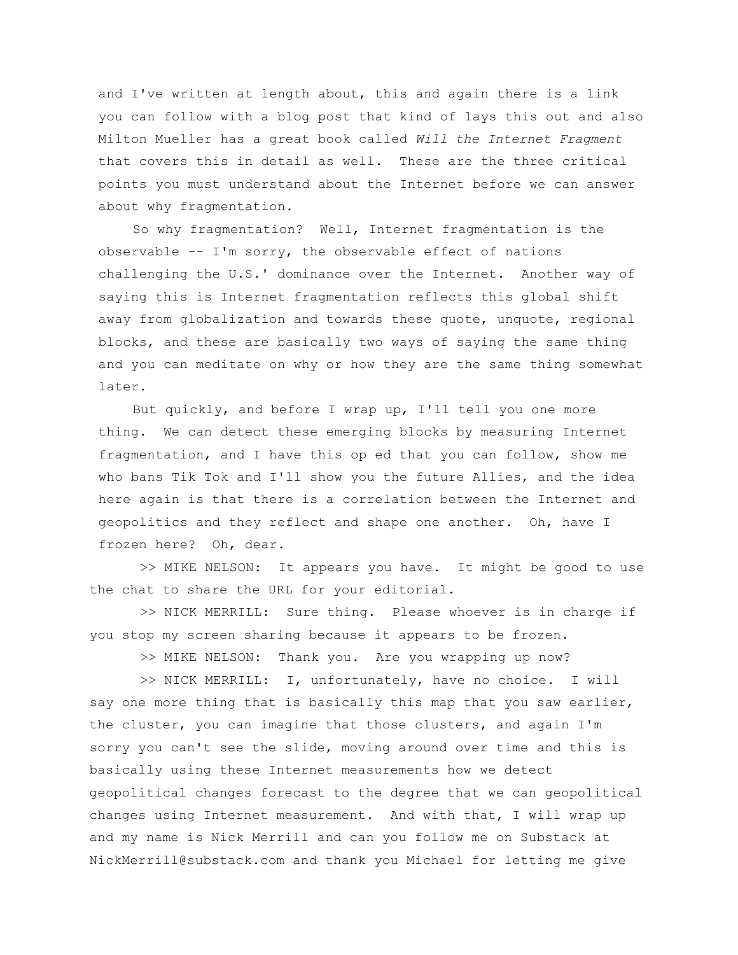and I've written at length about, this and again there is a link you can follow with a blog post that kind of lays this out and also Milton Mueller has a great book called *Will the Internet Fragment* that covers this in detail as well. These are the three critical points you must understand about the Internet before we can answer about why fragmentation.

So why fragmentation? Well, Internet fragmentation is the observable -- I'm sorry, the observable effect of nations challenging the U.S.' dominance over the Internet. Another way of saying this is Internet fragmentation reflects this global shift away from globalization and towards these quote, unquote, regional blocks, and these are basically two ways of saying the same thing and you can meditate on why or how they are the same thing somewhat later.

But quickly, and before I wrap up, I'll tell you one more thing. We can detect these emerging blocks by measuring Internet fragmentation, and I have this op ed that you can follow, show me who bans Tik Tok and I'll show you the future Allies, and the idea here again is that there is a correlation between the Internet and geopolitics and they reflect and shape one another. Oh, have I frozen here? Oh, dear.

>> MIKE NELSON: It appears you have. It might be good to use the chat to share the URL for your editorial.

>> NICK MERRILL: Sure thing. Please whoever is in charge if you stop my screen sharing because it appears to be frozen.

>> MIKE NELSON: Thank you. Are you wrapping up now?

>> NICK MERRILL: I, unfortunately, have no choice. I will say one more thing that is basically this map that you saw earlier, the cluster, you can imagine that those clusters, and again I'm sorry you can't see the slide, moving around over time and this is basically using these Internet measurements how we detect geopolitical changes forecast to the degree that we can geopolitical changes using Internet measurement. And with that, I will wrap up and my name is Nick Merrill and can you follow me on Substack at NickMerrill@substack.com and thank you Michael for letting me give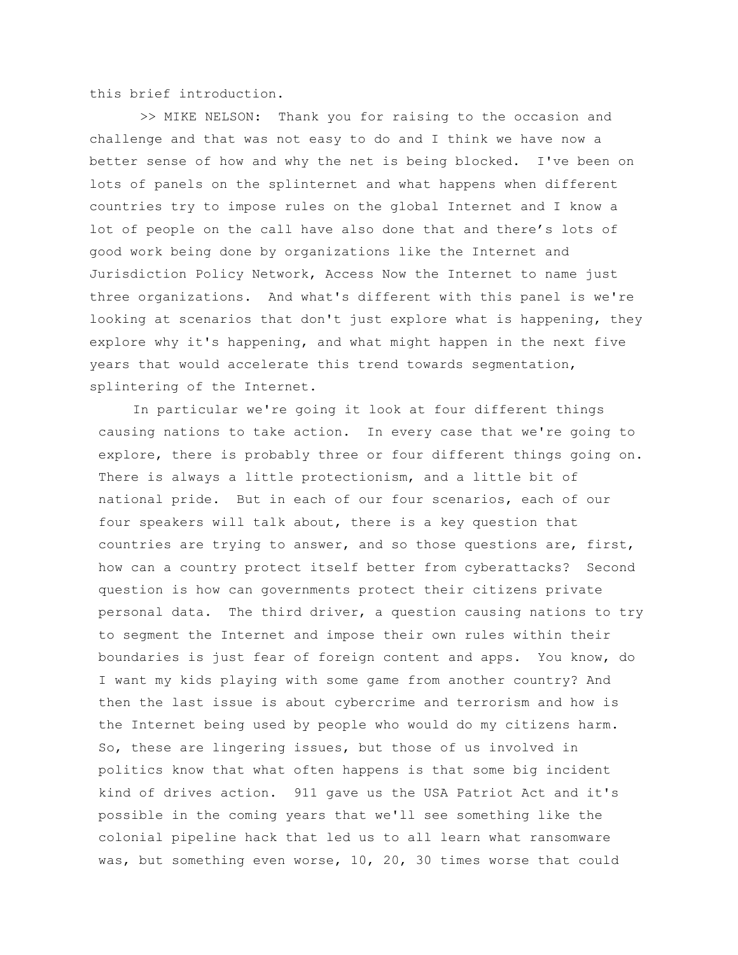this brief introduction.

>> MIKE NELSON: Thank you for raising to the occasion and challenge and that was not easy to do and I think we have now a better sense of how and why the net is being blocked. I've been on lots of panels on the splinternet and what happens when different countries try to impose rules on the global Internet and I know a lot of people on the call have also done that and there's lots of good work being done by organizations like the Internet and Jurisdiction Policy Network, Access Now the Internet to name just three organizations. And what's different with this panel is we're looking at scenarios that don't just explore what is happening, they explore why it's happening, and what might happen in the next five years that would accelerate this trend towards segmentation, splintering of the Internet.

In particular we're going it look at four different things causing nations to take action. In every case that we're going to explore, there is probably three or four different things going on. There is always a little protectionism, and a little bit of national pride. But in each of our four scenarios, each of our four speakers will talk about, there is a key question that countries are trying to answer, and so those questions are, first, how can a country protect itself better from cyberattacks? Second question is how can governments protect their citizens private personal data. The third driver, a question causing nations to try to segment the Internet and impose their own rules within their boundaries is just fear of foreign content and apps. You know, do I want my kids playing with some game from another country? And then the last issue is about cybercrime and terrorism and how is the Internet being used by people who would do my citizens harm. So, these are lingering issues, but those of us involved in politics know that what often happens is that some big incident kind of drives action. 911 gave us the USA Patriot Act and it's possible in the coming years that we'll see something like the colonial pipeline hack that led us to all learn what ransomware was, but something even worse, 10, 20, 30 times worse that could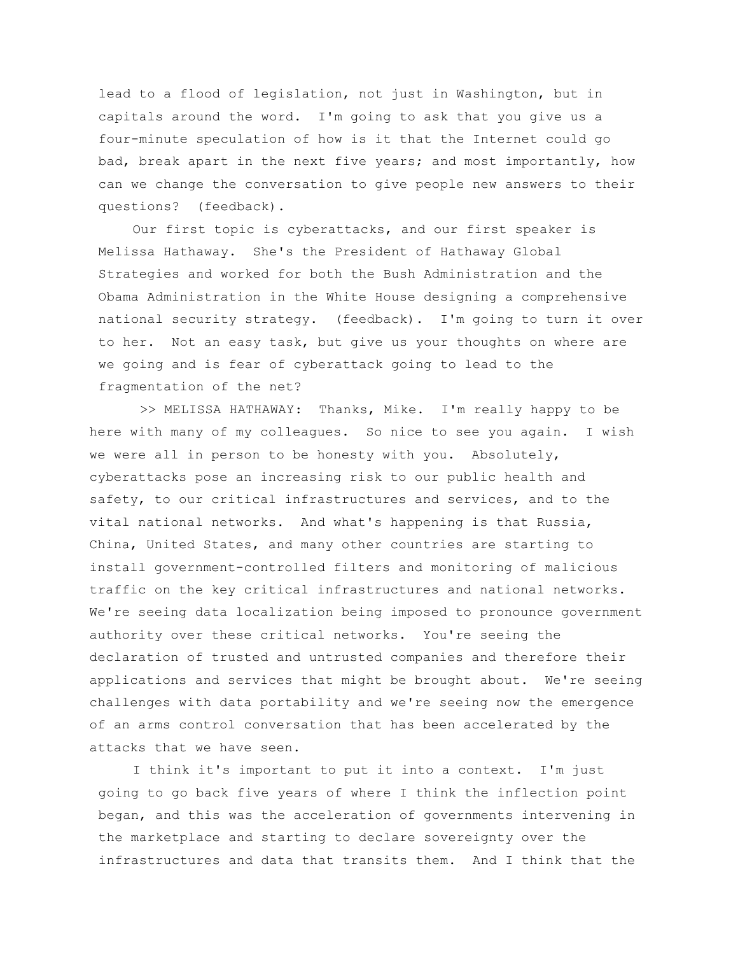lead to a flood of legislation, not just in Washington, but in capitals around the word. I'm going to ask that you give us a four-minute speculation of how is it that the Internet could go bad, break apart in the next five years; and most importantly, how can we change the conversation to give people new answers to their questions? (feedback).

Our first topic is cyberattacks, and our first speaker is Melissa Hathaway. She's the President of Hathaway Global Strategies and worked for both the Bush Administration and the Obama Administration in the White House designing a comprehensive national security strategy. (feedback). I'm going to turn it over to her. Not an easy task, but give us your thoughts on where are we going and is fear of cyberattack going to lead to the fragmentation of the net?

>> MELISSA HATHAWAY: Thanks, Mike. I'm really happy to be here with many of my colleagues. So nice to see you again. I wish we were all in person to be honesty with you. Absolutely, cyberattacks pose an increasing risk to our public health and safety, to our critical infrastructures and services, and to the vital national networks. And what's happening is that Russia, China, United States, and many other countries are starting to install government-controlled filters and monitoring of malicious traffic on the key critical infrastructures and national networks. We're seeing data localization being imposed to pronounce government authority over these critical networks. You're seeing the declaration of trusted and untrusted companies and therefore their applications and services that might be brought about. We're seeing challenges with data portability and we're seeing now the emergence of an arms control conversation that has been accelerated by the attacks that we have seen.

I think it's important to put it into a context. I'm just going to go back five years of where I think the inflection point began, and this was the acceleration of governments intervening in the marketplace and starting to declare sovereignty over the infrastructures and data that transits them. And I think that the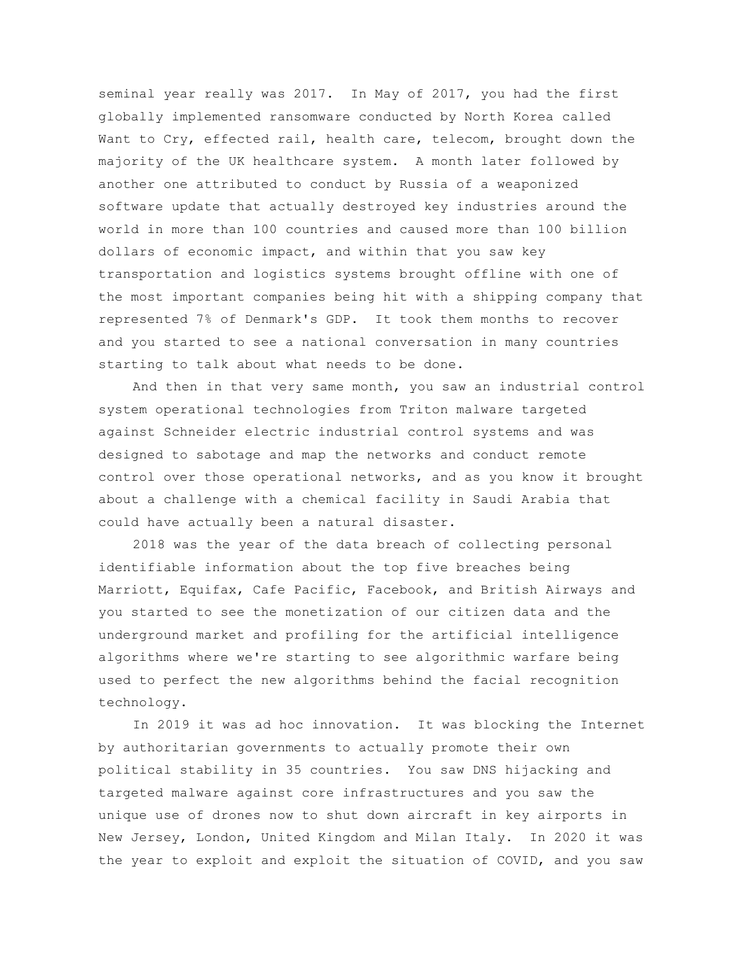seminal year really was 2017. In May of 2017, you had the first globally implemented ransomware conducted by North Korea called Want to Cry, effected rail, health care, telecom, brought down the majority of the UK healthcare system. A month later followed by another one attributed to conduct by Russia of a weaponized software update that actually destroyed key industries around the world in more than 100 countries and caused more than 100 billion dollars of economic impact, and within that you saw key transportation and logistics systems brought offline with one of the most important companies being hit with a shipping company that represented 7% of Denmark's GDP. It took them months to recover and you started to see a national conversation in many countries starting to talk about what needs to be done.

And then in that very same month, you saw an industrial control system operational technologies from Triton malware targeted against Schneider electric industrial control systems and was designed to sabotage and map the networks and conduct remote control over those operational networks, and as you know it brought about a challenge with a chemical facility in Saudi Arabia that could have actually been a natural disaster.

2018 was the year of the data breach of collecting personal identifiable information about the top five breaches being Marriott, Equifax, Cafe Pacific, Facebook, and British Airways and you started to see the monetization of our citizen data and the underground market and profiling for the artificial intelligence algorithms where we're starting to see algorithmic warfare being used to perfect the new algorithms behind the facial recognition technology.

In 2019 it was ad hoc innovation. It was blocking the Internet by authoritarian governments to actually promote their own political stability in 35 countries. You saw DNS hijacking and targeted malware against core infrastructures and you saw the unique use of drones now to shut down aircraft in key airports in New Jersey, London, United Kingdom and Milan Italy. In 2020 it was the year to exploit and exploit the situation of COVID, and you saw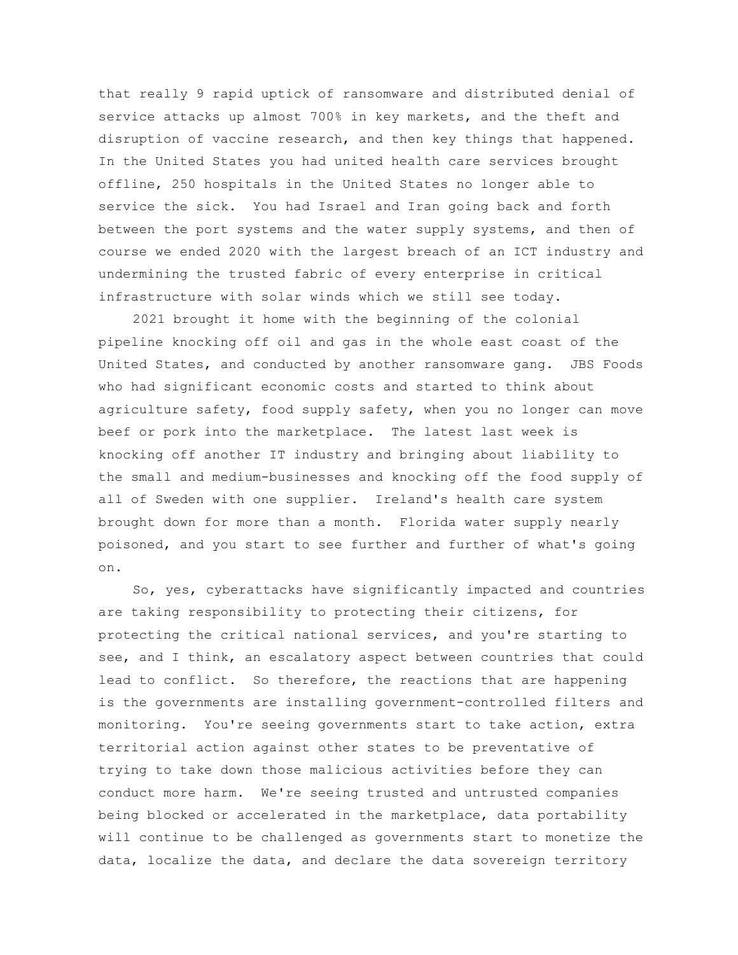that really 9 rapid uptick of ransomware and distributed denial of service attacks up almost 700% in key markets, and the theft and disruption of vaccine research, and then key things that happened. In the United States you had united health care services brought offline, 250 hospitals in the United States no longer able to service the sick. You had Israel and Iran going back and forth between the port systems and the water supply systems, and then of course we ended 2020 with the largest breach of an ICT industry and undermining the trusted fabric of every enterprise in critical infrastructure with solar winds which we still see today.

2021 brought it home with the beginning of the colonial pipeline knocking off oil and gas in the whole east coast of the United States, and conducted by another ransomware gang. JBS Foods who had significant economic costs and started to think about agriculture safety, food supply safety, when you no longer can move beef or pork into the marketplace. The latest last week is knocking off another IT industry and bringing about liability to the small and medium-businesses and knocking off the food supply of all of Sweden with one supplier. Ireland's health care system brought down for more than a month. Florida water supply nearly poisoned, and you start to see further and further of what's going on.

So, yes, cyberattacks have significantly impacted and countries are taking responsibility to protecting their citizens, for protecting the critical national services, and you're starting to see, and I think, an escalatory aspect between countries that could lead to conflict. So therefore, the reactions that are happening is the governments are installing government-controlled filters and monitoring. You're seeing governments start to take action, extra territorial action against other states to be preventative of trying to take down those malicious activities before they can conduct more harm. We're seeing trusted and untrusted companies being blocked or accelerated in the marketplace, data portability will continue to be challenged as governments start to monetize the data, localize the data, and declare the data sovereign territory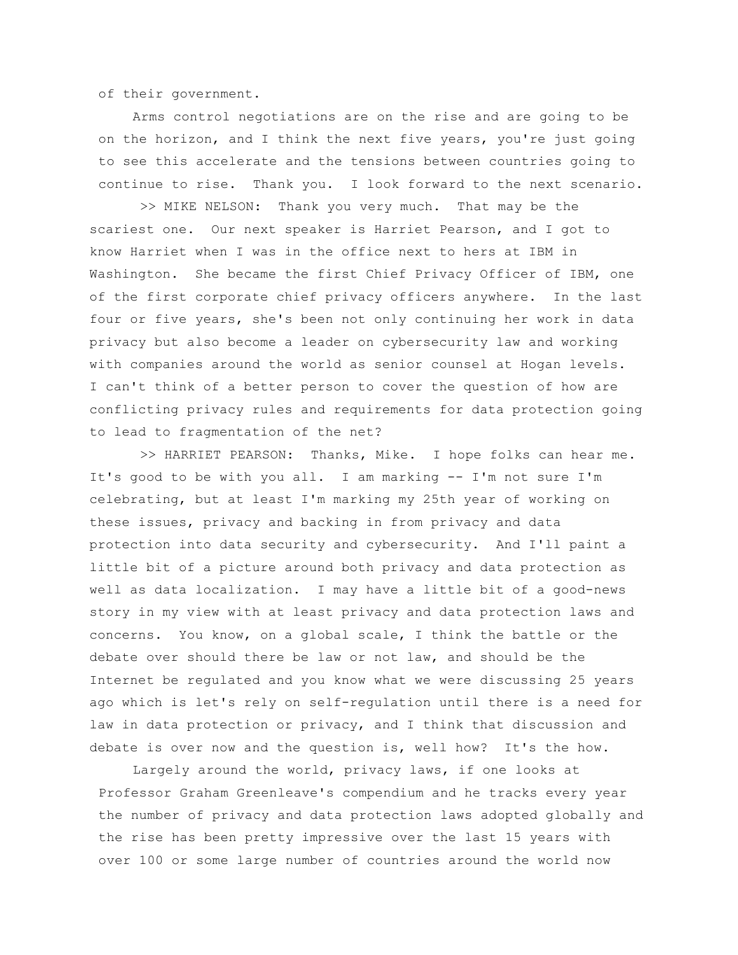of their government.

Arms control negotiations are on the rise and are going to be on the horizon, and I think the next five years, you're just going to see this accelerate and the tensions between countries going to continue to rise. Thank you. I look forward to the next scenario.

>> MIKE NELSON: Thank you very much. That may be the scariest one. Our next speaker is Harriet Pearson, and I got to know Harriet when I was in the office next to hers at IBM in Washington. She became the first Chief Privacy Officer of IBM, one of the first corporate chief privacy officers anywhere. In the last four or five years, she's been not only continuing her work in data privacy but also become a leader on cybersecurity law and working with companies around the world as senior counsel at Hogan levels. I can't think of a better person to cover the question of how are conflicting privacy rules and requirements for data protection going to lead to fragmentation of the net?

>> HARRIET PEARSON: Thanks, Mike. I hope folks can hear me. It's good to be with you all. I am marking -- I'm not sure I'm celebrating, but at least I'm marking my 25th year of working on these issues, privacy and backing in from privacy and data protection into data security and cybersecurity. And I'll paint a little bit of a picture around both privacy and data protection as well as data localization. I may have a little bit of a good-news story in my view with at least privacy and data protection laws and concerns. You know, on a global scale, I think the battle or the debate over should there be law or not law, and should be the Internet be regulated and you know what we were discussing 25 years ago which is let's rely on self-regulation until there is a need for law in data protection or privacy, and I think that discussion and debate is over now and the question is, well how? It's the how.

Largely around the world, privacy laws, if one looks at Professor Graham Greenleave's compendium and he tracks every year the number of privacy and data protection laws adopted globally and the rise has been pretty impressive over the last 15 years with over 100 or some large number of countries around the world now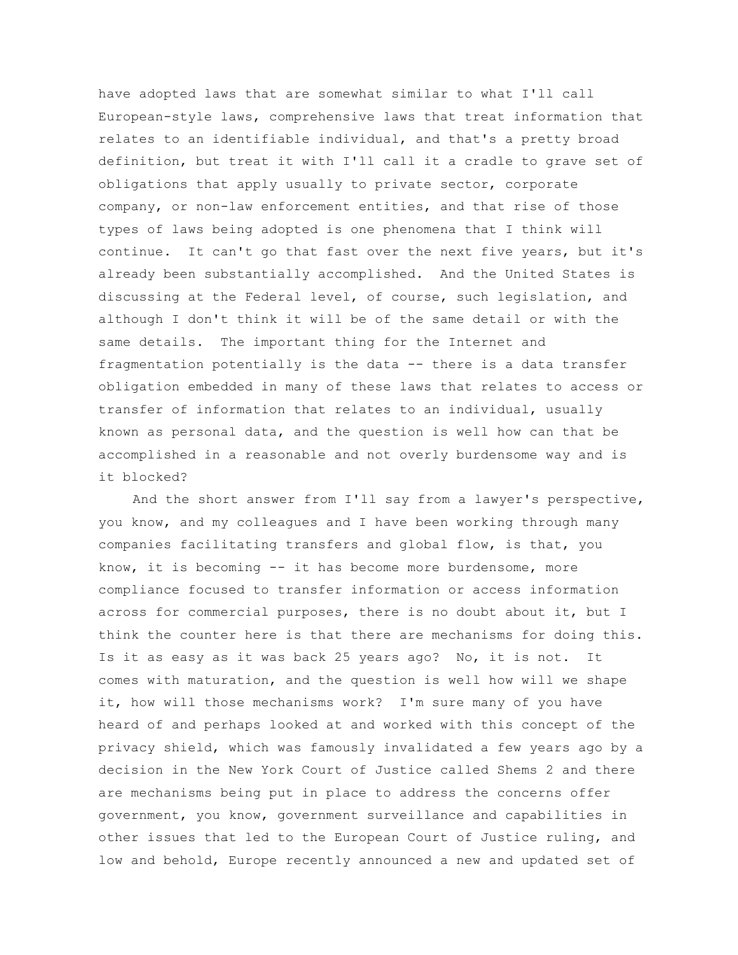have adopted laws that are somewhat similar to what I'll call European-style laws, comprehensive laws that treat information that relates to an identifiable individual, and that's a pretty broad definition, but treat it with I'll call it a cradle to grave set of obligations that apply usually to private sector, corporate company, or non-law enforcement entities, and that rise of those types of laws being adopted is one phenomena that I think will continue. It can't go that fast over the next five years, but it's already been substantially accomplished. And the United States is discussing at the Federal level, of course, such legislation, and although I don't think it will be of the same detail or with the same details. The important thing for the Internet and fragmentation potentially is the data -- there is a data transfer obligation embedded in many of these laws that relates to access or transfer of information that relates to an individual, usually known as personal data, and the question is well how can that be accomplished in a reasonable and not overly burdensome way and is it blocked?

And the short answer from I'll say from a lawyer's perspective, you know, and my colleagues and I have been working through many companies facilitating transfers and global flow, is that, you know, it is becoming -- it has become more burdensome, more compliance focused to transfer information or access information across for commercial purposes, there is no doubt about it, but I think the counter here is that there are mechanisms for doing this. Is it as easy as it was back 25 years ago? No, it is not. It comes with maturation, and the question is well how will we shape it, how will those mechanisms work? I'm sure many of you have heard of and perhaps looked at and worked with this concept of the privacy shield, which was famously invalidated a few years ago by a decision in the New York Court of Justice called Shems 2 and there are mechanisms being put in place to address the concerns offer government, you know, government surveillance and capabilities in other issues that led to the European Court of Justice ruling, and low and behold, Europe recently announced a new and updated set of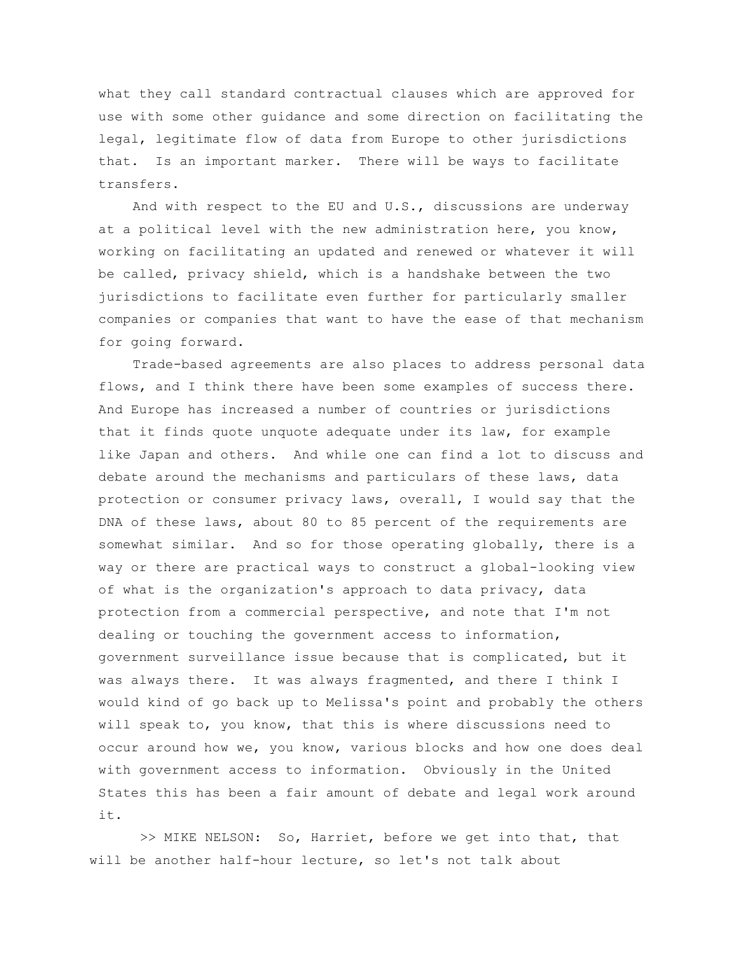what they call standard contractual clauses which are approved for use with some other guidance and some direction on facilitating the legal, legitimate flow of data from Europe to other jurisdictions that. Is an important marker. There will be ways to facilitate transfers.

And with respect to the EU and U.S., discussions are underway at a political level with the new administration here, you know, working on facilitating an updated and renewed or whatever it will be called, privacy shield, which is a handshake between the two jurisdictions to facilitate even further for particularly smaller companies or companies that want to have the ease of that mechanism for going forward.

Trade-based agreements are also places to address personal data flows, and I think there have been some examples of success there. And Europe has increased a number of countries or jurisdictions that it finds quote unquote adequate under its law, for example like Japan and others. And while one can find a lot to discuss and debate around the mechanisms and particulars of these laws, data protection or consumer privacy laws, overall, I would say that the DNA of these laws, about 80 to 85 percent of the requirements are somewhat similar. And so for those operating globally, there is a way or there are practical ways to construct a global-looking view of what is the organization's approach to data privacy, data protection from a commercial perspective, and note that I'm not dealing or touching the government access to information, government surveillance issue because that is complicated, but it was always there. It was always fragmented, and there I think I would kind of go back up to Melissa's point and probably the others will speak to, you know, that this is where discussions need to occur around how we, you know, various blocks and how one does deal with government access to information. Obviously in the United States this has been a fair amount of debate and legal work around it.

>> MIKE NELSON: So, Harriet, before we get into that, that will be another half-hour lecture, so let's not talk about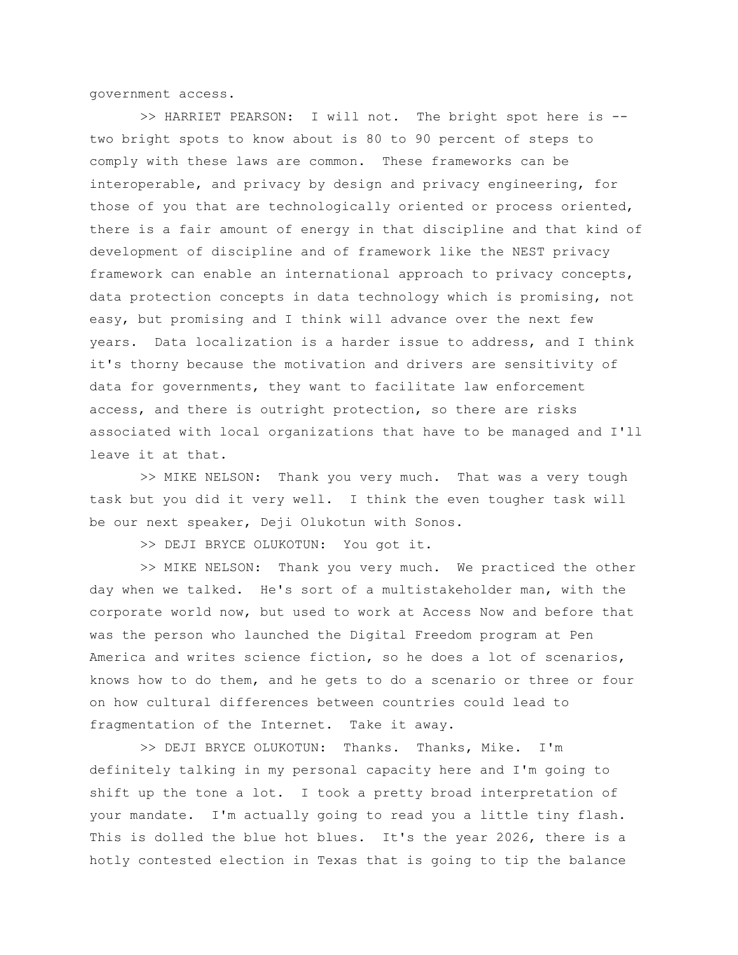government access.

>> HARRIET PEARSON: I will not. The bright spot here is - two bright spots to know about is 80 to 90 percent of steps to comply with these laws are common. These frameworks can be interoperable, and privacy by design and privacy engineering, for those of you that are technologically oriented or process oriented, there is a fair amount of energy in that discipline and that kind of development of discipline and of framework like the NEST privacy framework can enable an international approach to privacy concepts, data protection concepts in data technology which is promising, not easy, but promising and I think will advance over the next few years. Data localization is a harder issue to address, and I think it's thorny because the motivation and drivers are sensitivity of data for governments, they want to facilitate law enforcement access, and there is outright protection, so there are risks associated with local organizations that have to be managed and I'll leave it at that.

>> MIKE NELSON: Thank you very much. That was a very tough task but you did it very well. I think the even tougher task will be our next speaker, Deji Olukotun with Sonos.

>> DEJI BRYCE OLUKOTUN: You got it.

>> MIKE NELSON: Thank you very much. We practiced the other day when we talked. He's sort of a multistakeholder man, with the corporate world now, but used to work at Access Now and before that was the person who launched the Digital Freedom program at Pen America and writes science fiction, so he does a lot of scenarios, knows how to do them, and he gets to do a scenario or three or four on how cultural differences between countries could lead to fragmentation of the Internet. Take it away.

>> DEJI BRYCE OLUKOTUN: Thanks. Thanks, Mike. I'm definitely talking in my personal capacity here and I'm going to shift up the tone a lot. I took a pretty broad interpretation of your mandate. I'm actually going to read you a little tiny flash. This is dolled the blue hot blues. It's the year 2026, there is a hotly contested election in Texas that is going to tip the balance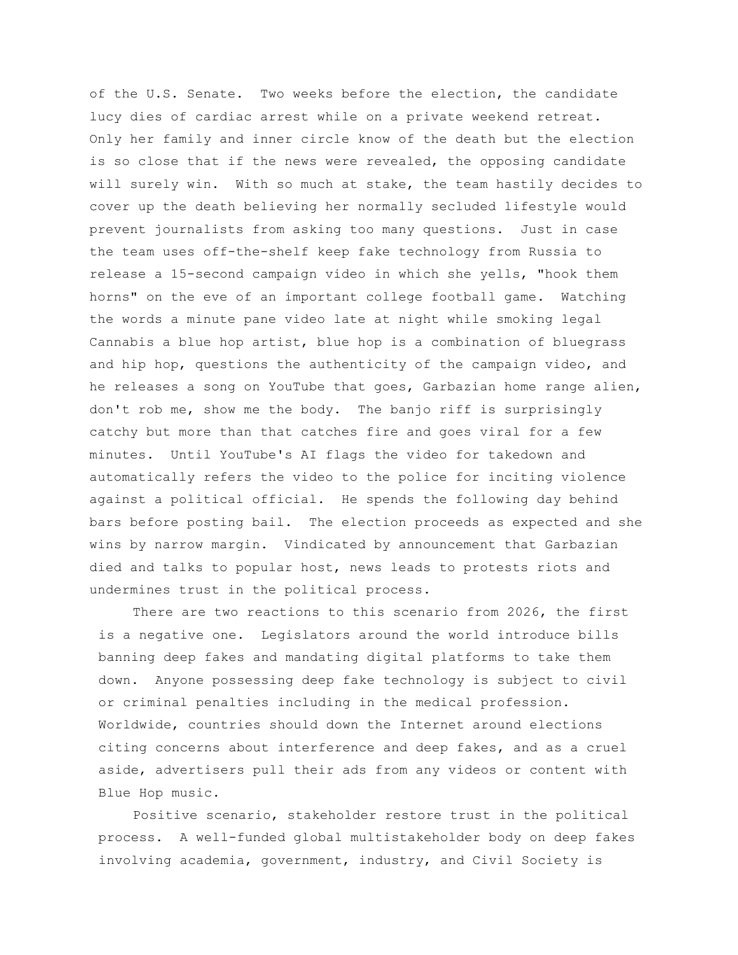of the U.S. Senate. Two weeks before the election, the candidate lucy dies of cardiac arrest while on a private weekend retreat. Only her family and inner circle know of the death but the election is so close that if the news were revealed, the opposing candidate will surely win. With so much at stake, the team hastily decides to cover up the death believing her normally secluded lifestyle would prevent journalists from asking too many questions. Just in case the team uses off-the-shelf keep fake technology from Russia to release a 15-second campaign video in which she yells, "hook them horns" on the eve of an important college football game. Watching the words a minute pane video late at night while smoking legal Cannabis a blue hop artist, blue hop is a combination of bluegrass and hip hop, questions the authenticity of the campaign video, and he releases a song on YouTube that goes, Garbazian home range alien, don't rob me, show me the body. The banjo riff is surprisingly catchy but more than that catches fire and goes viral for a few minutes. Until YouTube's AI flags the video for takedown and automatically refers the video to the police for inciting violence against a political official. He spends the following day behind bars before posting bail. The election proceeds as expected and she wins by narrow margin. Vindicated by announcement that Garbazian died and talks to popular host, news leads to protests riots and undermines trust in the political process.

There are two reactions to this scenario from 2026, the first is a negative one. Legislators around the world introduce bills banning deep fakes and mandating digital platforms to take them down. Anyone possessing deep fake technology is subject to civil or criminal penalties including in the medical profession. Worldwide, countries should down the Internet around elections citing concerns about interference and deep fakes, and as a cruel aside, advertisers pull their ads from any videos or content with Blue Hop music.

Positive scenario, stakeholder restore trust in the political process. A well-funded global multistakeholder body on deep fakes involving academia, government, industry, and Civil Society is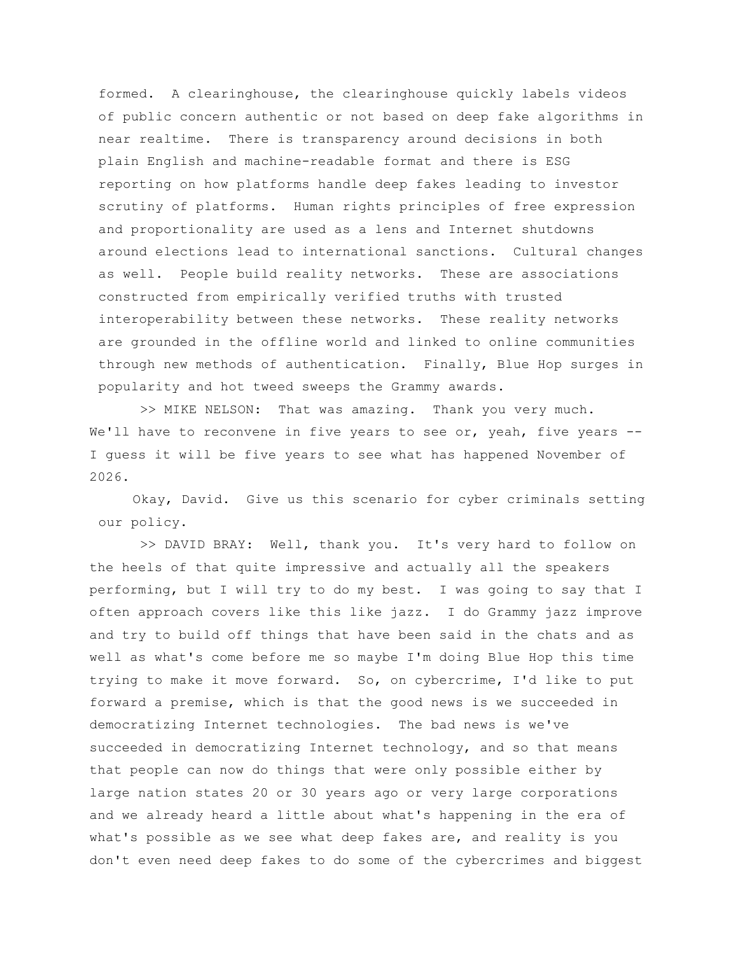formed. A clearinghouse, the clearinghouse quickly labels videos of public concern authentic or not based on deep fake algorithms in near realtime. There is transparency around decisions in both plain English and machine-readable format and there is ESG reporting on how platforms handle deep fakes leading to investor scrutiny of platforms. Human rights principles of free expression and proportionality are used as a lens and Internet shutdowns around elections lead to international sanctions. Cultural changes as well. People build reality networks. These are associations constructed from empirically verified truths with trusted interoperability between these networks. These reality networks are grounded in the offline world and linked to online communities through new methods of authentication. Finally, Blue Hop surges in popularity and hot tweed sweeps the Grammy awards.

>> MIKE NELSON: That was amazing. Thank you very much. We'll have to reconvene in five years to see or, yeah, five years --I guess it will be five years to see what has happened November of 2026.

Okay, David. Give us this scenario for cyber criminals setting our policy.

>> DAVID BRAY: Well, thank you. It's very hard to follow on the heels of that quite impressive and actually all the speakers performing, but I will try to do my best. I was going to say that I often approach covers like this like jazz. I do Grammy jazz improve and try to build off things that have been said in the chats and as well as what's come before me so maybe I'm doing Blue Hop this time trying to make it move forward. So, on cybercrime, I'd like to put forward a premise, which is that the good news is we succeeded in democratizing Internet technologies. The bad news is we've succeeded in democratizing Internet technology, and so that means that people can now do things that were only possible either by large nation states 20 or 30 years ago or very large corporations and we already heard a little about what's happening in the era of what's possible as we see what deep fakes are, and reality is you don't even need deep fakes to do some of the cybercrimes and biggest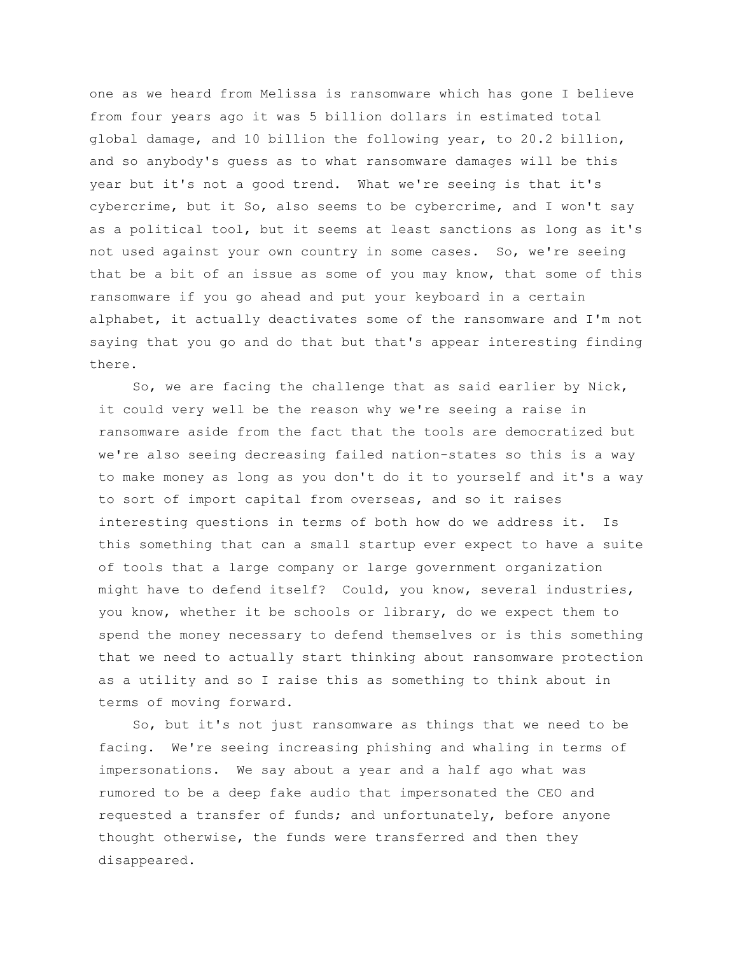one as we heard from Melissa is ransomware which has gone I believe from four years ago it was 5 billion dollars in estimated total global damage, and 10 billion the following year, to 20.2 billion, and so anybody's guess as to what ransomware damages will be this year but it's not a good trend. What we're seeing is that it's cybercrime, but it So, also seems to be cybercrime, and I won't say as a political tool, but it seems at least sanctions as long as it's not used against your own country in some cases. So, we're seeing that be a bit of an issue as some of you may know, that some of this ransomware if you go ahead and put your keyboard in a certain alphabet, it actually deactivates some of the ransomware and I'm not saying that you go and do that but that's appear interesting finding there.

So, we are facing the challenge that as said earlier by Nick, it could very well be the reason why we're seeing a raise in ransomware aside from the fact that the tools are democratized but we're also seeing decreasing failed nation-states so this is a way to make money as long as you don't do it to yourself and it's a way to sort of import capital from overseas, and so it raises interesting questions in terms of both how do we address it. Is this something that can a small startup ever expect to have a suite of tools that a large company or large government organization might have to defend itself? Could, you know, several industries, you know, whether it be schools or library, do we expect them to spend the money necessary to defend themselves or is this something that we need to actually start thinking about ransomware protection as a utility and so I raise this as something to think about in terms of moving forward.

So, but it's not just ransomware as things that we need to be facing. We're seeing increasing phishing and whaling in terms of impersonations. We say about a year and a half ago what was rumored to be a deep fake audio that impersonated the CEO and requested a transfer of funds; and unfortunately, before anyone thought otherwise, the funds were transferred and then they disappeared.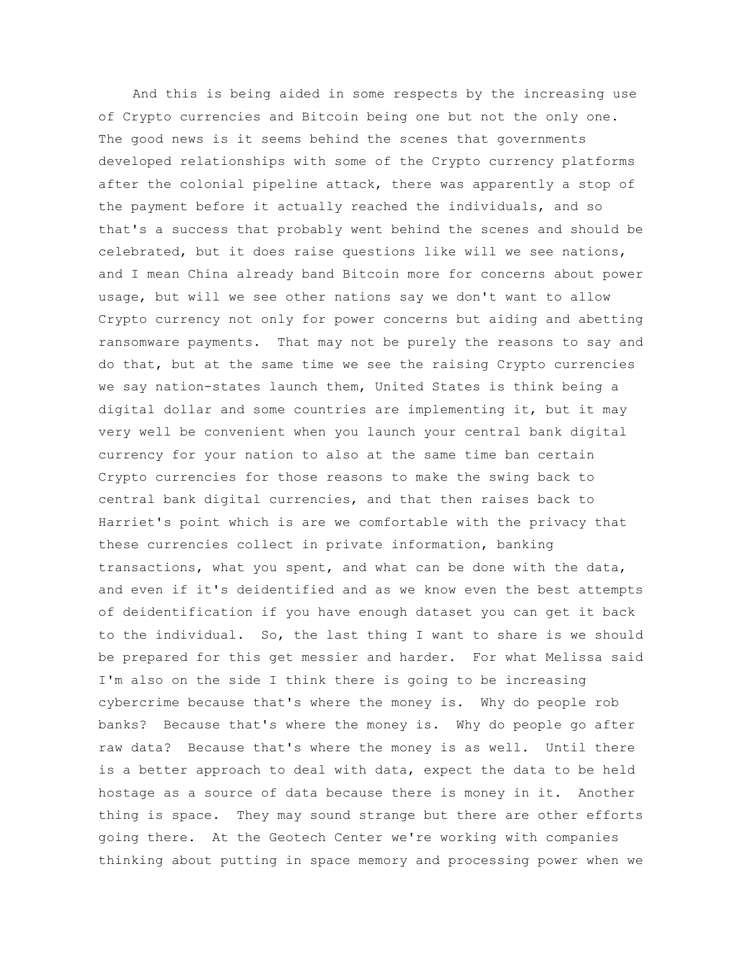And this is being aided in some respects by the increasing use of Crypto currencies and Bitcoin being one but not the only one. The good news is it seems behind the scenes that governments developed relationships with some of the Crypto currency platforms after the colonial pipeline attack, there was apparently a stop of the payment before it actually reached the individuals, and so that's a success that probably went behind the scenes and should be celebrated, but it does raise questions like will we see nations, and I mean China already band Bitcoin more for concerns about power usage, but will we see other nations say we don't want to allow Crypto currency not only for power concerns but aiding and abetting ransomware payments. That may not be purely the reasons to say and do that, but at the same time we see the raising Crypto currencies we say nation-states launch them, United States is think being a digital dollar and some countries are implementing it, but it may very well be convenient when you launch your central bank digital currency for your nation to also at the same time ban certain Crypto currencies for those reasons to make the swing back to central bank digital currencies, and that then raises back to Harriet's point which is are we comfortable with the privacy that these currencies collect in private information, banking transactions, what you spent, and what can be done with the data, and even if it's deidentified and as we know even the best attempts of deidentification if you have enough dataset you can get it back to the individual. So, the last thing I want to share is we should be prepared for this get messier and harder. For what Melissa said I'm also on the side I think there is going to be increasing cybercrime because that's where the money is. Why do people rob banks? Because that's where the money is. Why do people go after raw data? Because that's where the money is as well. Until there is a better approach to deal with data, expect the data to be held hostage as a source of data because there is money in it. Another thing is space. They may sound strange but there are other efforts going there. At the Geotech Center we're working with companies thinking about putting in space memory and processing power when we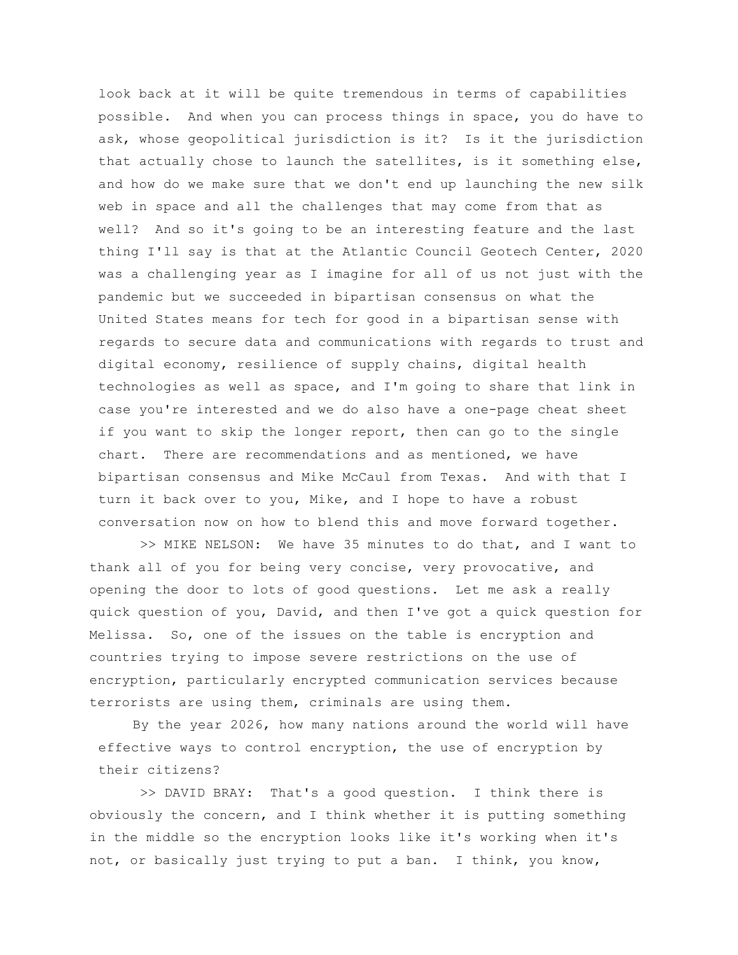look back at it will be quite tremendous in terms of capabilities possible. And when you can process things in space, you do have to ask, whose geopolitical jurisdiction is it? Is it the jurisdiction that actually chose to launch the satellites, is it something else, and how do we make sure that we don't end up launching the new silk web in space and all the challenges that may come from that as well? And so it's going to be an interesting feature and the last thing I'll say is that at the Atlantic Council Geotech Center, 2020 was a challenging year as I imagine for all of us not just with the pandemic but we succeeded in bipartisan consensus on what the United States means for tech for good in a bipartisan sense with regards to secure data and communications with regards to trust and digital economy, resilience of supply chains, digital health technologies as well as space, and I'm going to share that link in case you're interested and we do also have a one-page cheat sheet if you want to skip the longer report, then can go to the single chart. There are recommendations and as mentioned, we have bipartisan consensus and Mike McCaul from Texas. And with that I turn it back over to you, Mike, and I hope to have a robust conversation now on how to blend this and move forward together.

>> MIKE NELSON: We have 35 minutes to do that, and I want to thank all of you for being very concise, very provocative, and opening the door to lots of good questions. Let me ask a really quick question of you, David, and then I've got a quick question for Melissa. So, one of the issues on the table is encryption and countries trying to impose severe restrictions on the use of encryption, particularly encrypted communication services because terrorists are using them, criminals are using them.

By the year 2026, how many nations around the world will have effective ways to control encryption, the use of encryption by their citizens?

>> DAVID BRAY: That's a good question. I think there is obviously the concern, and I think whether it is putting something in the middle so the encryption looks like it's working when it's not, or basically just trying to put a ban. I think, you know,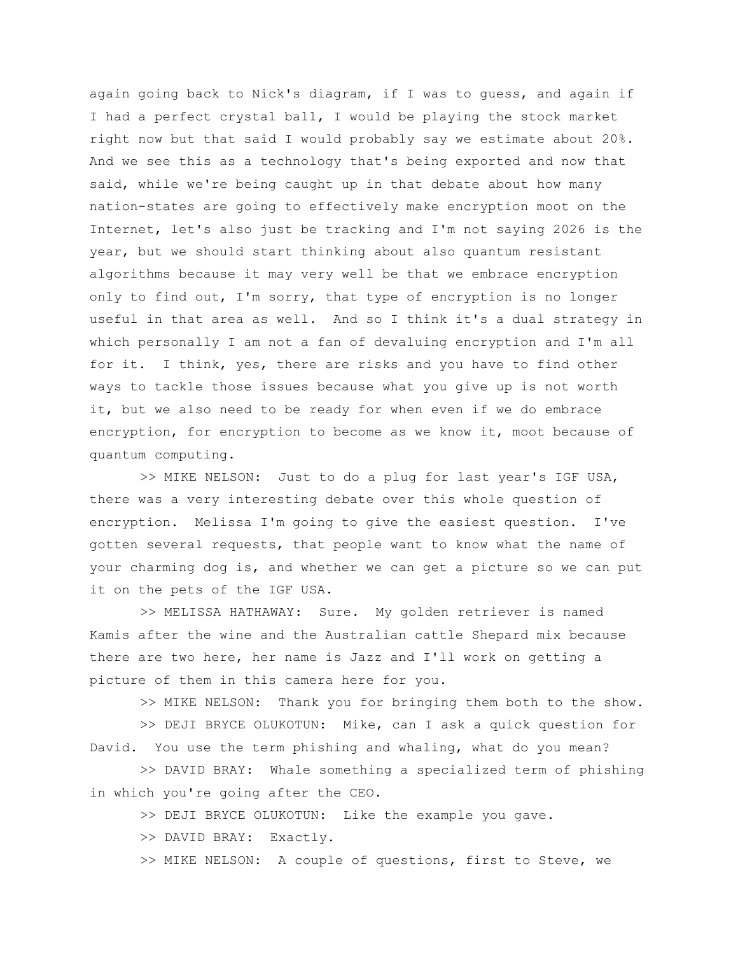again going back to Nick's diagram, if I was to guess, and again if I had a perfect crystal ball, I would be playing the stock market right now but that said I would probably say we estimate about 20%. And we see this as a technology that's being exported and now that said, while we're being caught up in that debate about how many nation-states are going to effectively make encryption moot on the Internet, let's also just be tracking and I'm not saying 2026 is the year, but we should start thinking about also quantum resistant algorithms because it may very well be that we embrace encryption only to find out, I'm sorry, that type of encryption is no longer useful in that area as well. And so I think it's a dual strategy in which personally I am not a fan of devaluing encryption and I'm all for it. I think, yes, there are risks and you have to find other ways to tackle those issues because what you give up is not worth it, but we also need to be ready for when even if we do embrace encryption, for encryption to become as we know it, moot because of quantum computing.

>> MIKE NELSON: Just to do a plug for last year's IGF USA, there was a very interesting debate over this whole question of encryption. Melissa I'm going to give the easiest question. I've gotten several requests, that people want to know what the name of your charming dog is, and whether we can get a picture so we can put it on the pets of the IGF USA.

>> MELISSA HATHAWAY: Sure. My golden retriever is named Kamis after the wine and the Australian cattle Shepard mix because there are two here, her name is Jazz and I'll work on getting a picture of them in this camera here for you.

>> MIKE NELSON: Thank you for bringing them both to the show.

>> DEJI BRYCE OLUKOTUN: Mike, can I ask a quick question for David. You use the term phishing and whaling, what do you mean?

>> DAVID BRAY: Whale something a specialized term of phishing in which you're going after the CEO.

>> DEJI BRYCE OLUKOTUN: Like the example you gave.

>> DAVID BRAY: Exactly.

>> MIKE NELSON: A couple of questions, first to Steve, we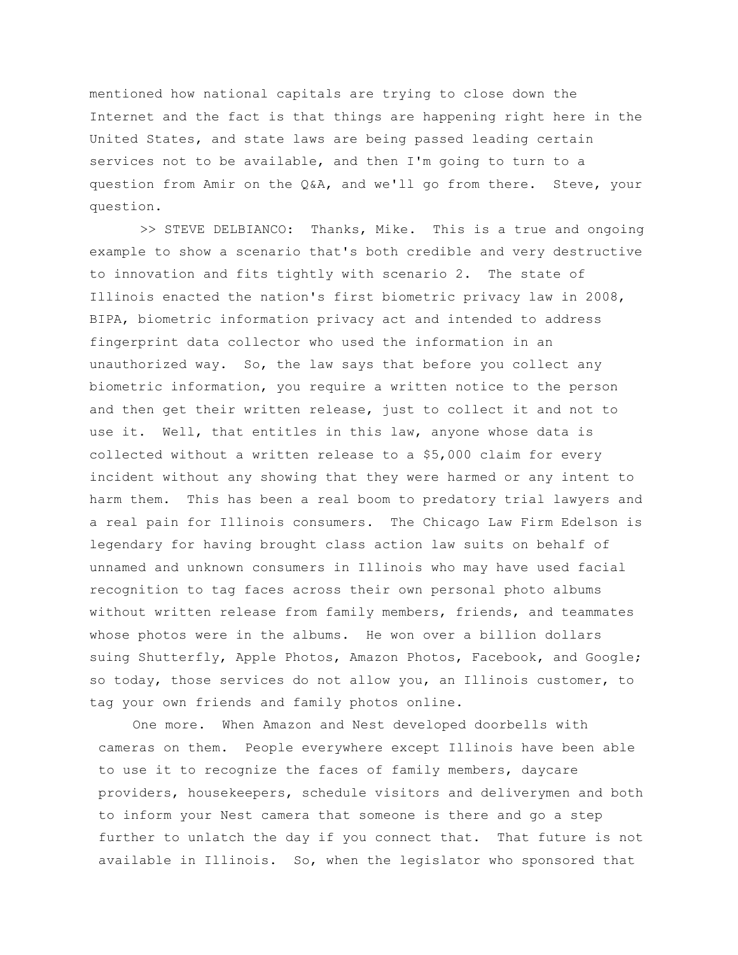mentioned how national capitals are trying to close down the Internet and the fact is that things are happening right here in the United States, and state laws are being passed leading certain services not to be available, and then I'm going to turn to a question from Amir on the Q&A, and we'll go from there. Steve, your question.

>> STEVE DELBIANCO: Thanks, Mike. This is a true and ongoing example to show a scenario that's both credible and very destructive to innovation and fits tightly with scenario 2. The state of Illinois enacted the nation's first biometric privacy law in 2008, BIPA, biometric information privacy act and intended to address fingerprint data collector who used the information in an unauthorized way. So, the law says that before you collect any biometric information, you require a written notice to the person and then get their written release, just to collect it and not to use it. Well, that entitles in this law, anyone whose data is collected without a written release to a \$5,000 claim for every incident without any showing that they were harmed or any intent to harm them. This has been a real boom to predatory trial lawyers and a real pain for Illinois consumers. The Chicago Law Firm Edelson is legendary for having brought class action law suits on behalf of unnamed and unknown consumers in Illinois who may have used facial recognition to tag faces across their own personal photo albums without written release from family members, friends, and teammates whose photos were in the albums. He won over a billion dollars suing Shutterfly, Apple Photos, Amazon Photos, Facebook, and Google; so today, those services do not allow you, an Illinois customer, to tag your own friends and family photos online.

One more. When Amazon and Nest developed doorbells with cameras on them. People everywhere except Illinois have been able to use it to recognize the faces of family members, daycare providers, housekeepers, schedule visitors and deliverymen and both to inform your Nest camera that someone is there and go a step further to unlatch the day if you connect that. That future is not available in Illinois. So, when the legislator who sponsored that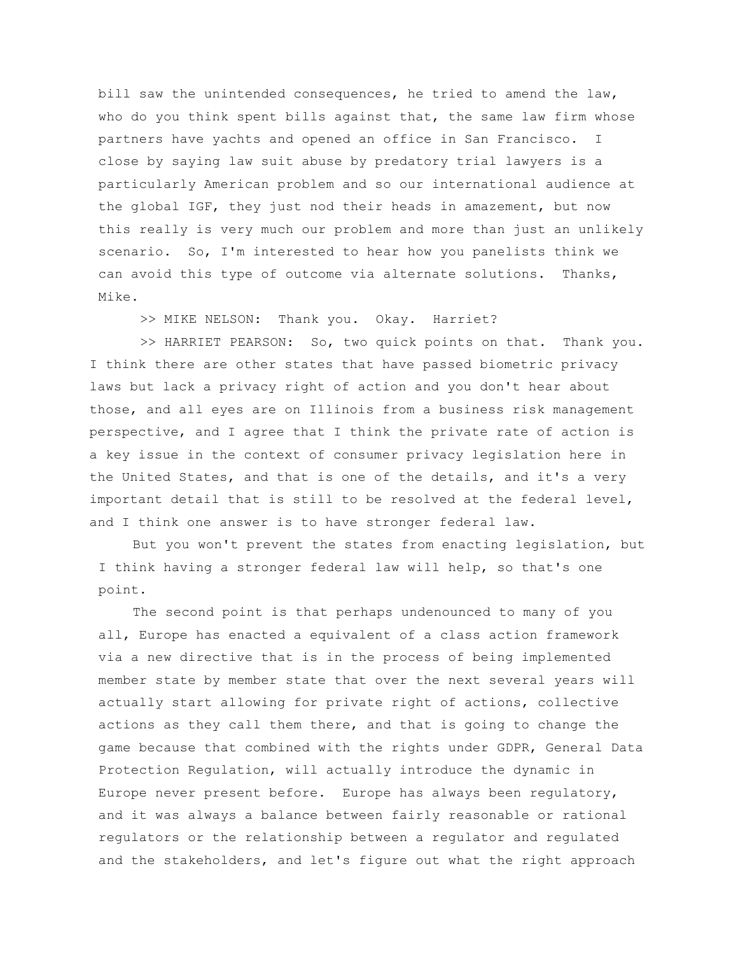bill saw the unintended consequences, he tried to amend the law, who do you think spent bills against that, the same law firm whose partners have yachts and opened an office in San Francisco. I close by saying law suit abuse by predatory trial lawyers is a particularly American problem and so our international audience at the global IGF, they just nod their heads in amazement, but now this really is very much our problem and more than just an unlikely scenario. So, I'm interested to hear how you panelists think we can avoid this type of outcome via alternate solutions. Thanks, Mike.

>> MIKE NELSON: Thank you. Okay. Harriet?

>> HARRIET PEARSON: So, two quick points on that. Thank you. I think there are other states that have passed biometric privacy laws but lack a privacy right of action and you don't hear about those, and all eyes are on Illinois from a business risk management perspective, and I agree that I think the private rate of action is a key issue in the context of consumer privacy legislation here in the United States, and that is one of the details, and it's a very important detail that is still to be resolved at the federal level, and I think one answer is to have stronger federal law.

But you won't prevent the states from enacting legislation, but I think having a stronger federal law will help, so that's one point.

The second point is that perhaps undenounced to many of you all, Europe has enacted a equivalent of a class action framework via a new directive that is in the process of being implemented member state by member state that over the next several years will actually start allowing for private right of actions, collective actions as they call them there, and that is going to change the game because that combined with the rights under GDPR, General Data Protection Regulation, will actually introduce the dynamic in Europe never present before. Europe has always been regulatory, and it was always a balance between fairly reasonable or rational regulators or the relationship between a regulator and regulated and the stakeholders, and let's figure out what the right approach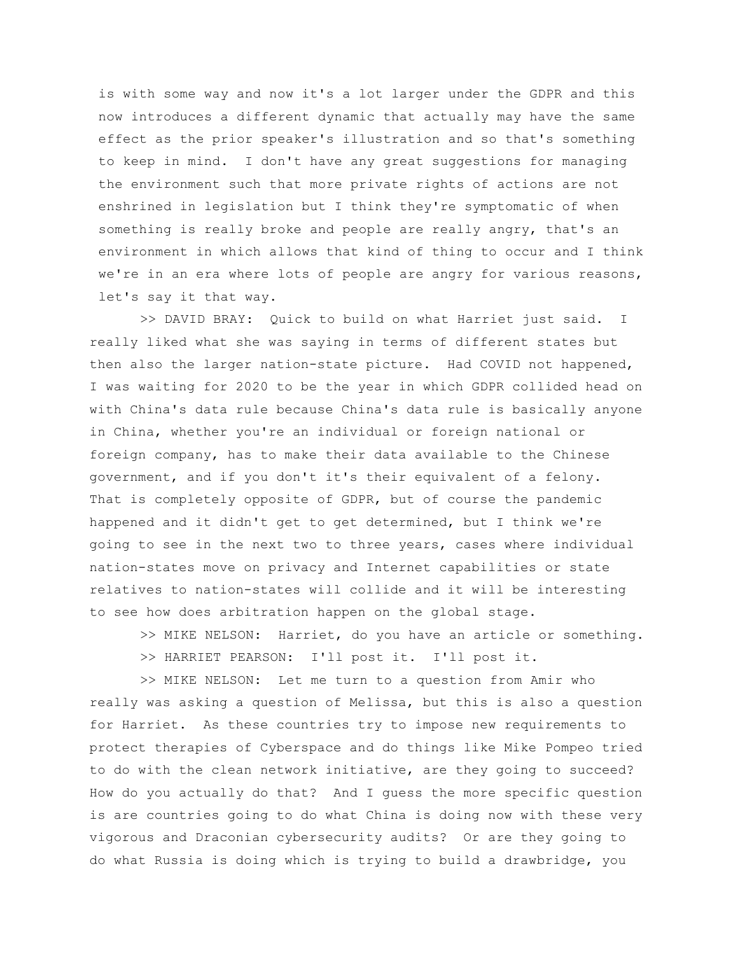is with some way and now it's a lot larger under the GDPR and this now introduces a different dynamic that actually may have the same effect as the prior speaker's illustration and so that's something to keep in mind. I don't have any great suggestions for managing the environment such that more private rights of actions are not enshrined in legislation but I think they're symptomatic of when something is really broke and people are really angry, that's an environment in which allows that kind of thing to occur and I think we're in an era where lots of people are angry for various reasons, let's say it that way.

>> DAVID BRAY: Quick to build on what Harriet just said. I really liked what she was saying in terms of different states but then also the larger nation-state picture. Had COVID not happened, I was waiting for 2020 to be the year in which GDPR collided head on with China's data rule because China's data rule is basically anyone in China, whether you're an individual or foreign national or foreign company, has to make their data available to the Chinese government, and if you don't it's their equivalent of a felony. That is completely opposite of GDPR, but of course the pandemic happened and it didn't get to get determined, but I think we're going to see in the next two to three years, cases where individual nation-states move on privacy and Internet capabilities or state relatives to nation-states will collide and it will be interesting to see how does arbitration happen on the global stage.

>> MIKE NELSON: Harriet, do you have an article or something. >> HARRIET PEARSON: I'll post it. I'll post it.

>> MIKE NELSON: Let me turn to a question from Amir who really was asking a question of Melissa, but this is also a question for Harriet. As these countries try to impose new requirements to protect therapies of Cyberspace and do things like Mike Pompeo tried to do with the clean network initiative, are they going to succeed? How do you actually do that? And I guess the more specific question is are countries going to do what China is doing now with these very vigorous and Draconian cybersecurity audits? Or are they going to do what Russia is doing which is trying to build a drawbridge, you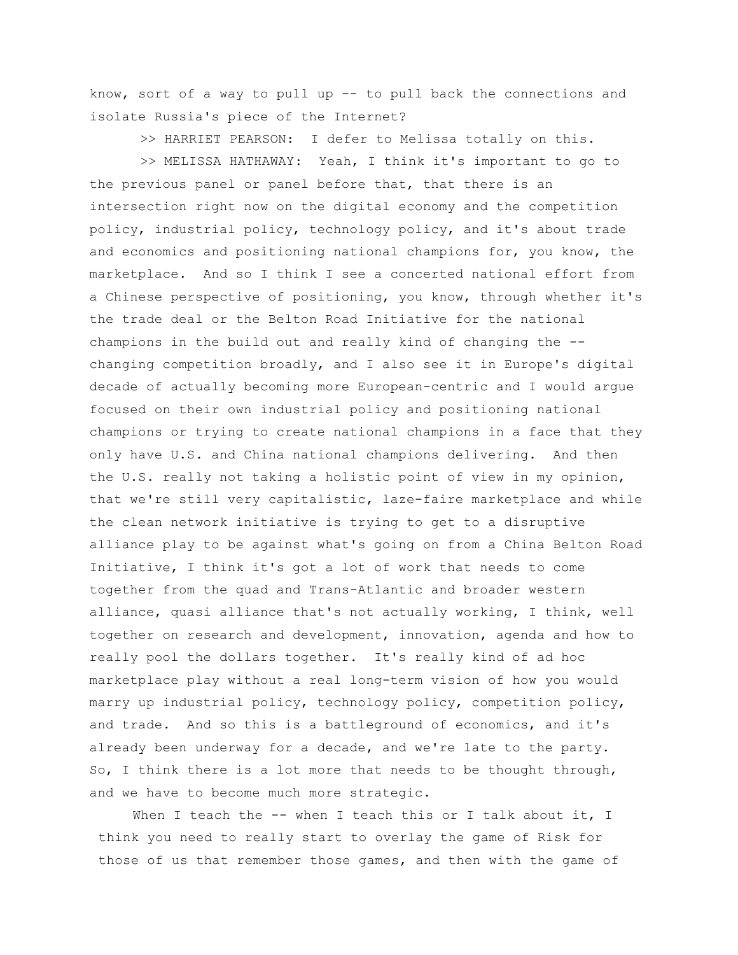know, sort of a way to pull up -- to pull back the connections and isolate Russia's piece of the Internet?

>> HARRIET PEARSON: I defer to Melissa totally on this.

>> MELISSA HATHAWAY: Yeah, I think it's important to go to the previous panel or panel before that, that there is an intersection right now on the digital economy and the competition policy, industrial policy, technology policy, and it's about trade and economics and positioning national champions for, you know, the marketplace. And so I think I see a concerted national effort from a Chinese perspective of positioning, you know, through whether it's the trade deal or the Belton Road Initiative for the national champions in the build out and really kind of changing the - changing competition broadly, and I also see it in Europe's digital decade of actually becoming more European-centric and I would argue focused on their own industrial policy and positioning national champions or trying to create national champions in a face that they only have U.S. and China national champions delivering. And then the U.S. really not taking a holistic point of view in my opinion, that we're still very capitalistic, laze-faire marketplace and while the clean network initiative is trying to get to a disruptive alliance play to be against what's going on from a China Belton Road Initiative, I think it's got a lot of work that needs to come together from the quad and Trans-Atlantic and broader western alliance, quasi alliance that's not actually working, I think, well together on research and development, innovation, agenda and how to really pool the dollars together. It's really kind of ad hoc marketplace play without a real long-term vision of how you would marry up industrial policy, technology policy, competition policy, and trade. And so this is a battleground of economics, and it's already been underway for a decade, and we're late to the party. So, I think there is a lot more that needs to be thought through, and we have to become much more strategic.

When I teach the -- when I teach this or I talk about it, I think you need to really start to overlay the game of Risk for those of us that remember those games, and then with the game of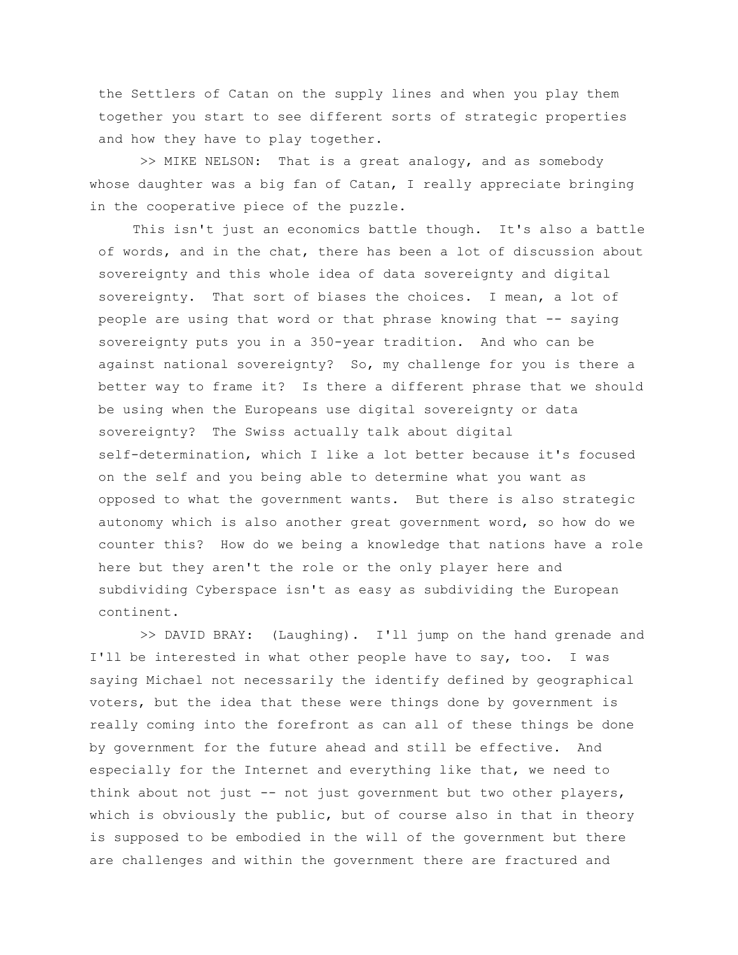the Settlers of Catan on the supply lines and when you play them together you start to see different sorts of strategic properties and how they have to play together.

>> MIKE NELSON: That is a great analogy, and as somebody whose daughter was a big fan of Catan, I really appreciate bringing in the cooperative piece of the puzzle.

This isn't just an economics battle though. It's also a battle of words, and in the chat, there has been a lot of discussion about sovereignty and this whole idea of data sovereignty and digital sovereignty. That sort of biases the choices. I mean, a lot of people are using that word or that phrase knowing that -- saying sovereignty puts you in a 350-year tradition. And who can be against national sovereignty? So, my challenge for you is there a better way to frame it? Is there a different phrase that we should be using when the Europeans use digital sovereignty or data sovereignty? The Swiss actually talk about digital self-determination, which I like a lot better because it's focused on the self and you being able to determine what you want as opposed to what the government wants. But there is also strategic autonomy which is also another great government word, so how do we counter this? How do we being a knowledge that nations have a role here but they aren't the role or the only player here and subdividing Cyberspace isn't as easy as subdividing the European continent.

>> DAVID BRAY: (Laughing). I'll jump on the hand grenade and I'll be interested in what other people have to say, too. I was saying Michael not necessarily the identify defined by geographical voters, but the idea that these were things done by government is really coming into the forefront as can all of these things be done by government for the future ahead and still be effective. And especially for the Internet and everything like that, we need to think about not just -- not just government but two other players, which is obviously the public, but of course also in that in theory is supposed to be embodied in the will of the government but there are challenges and within the government there are fractured and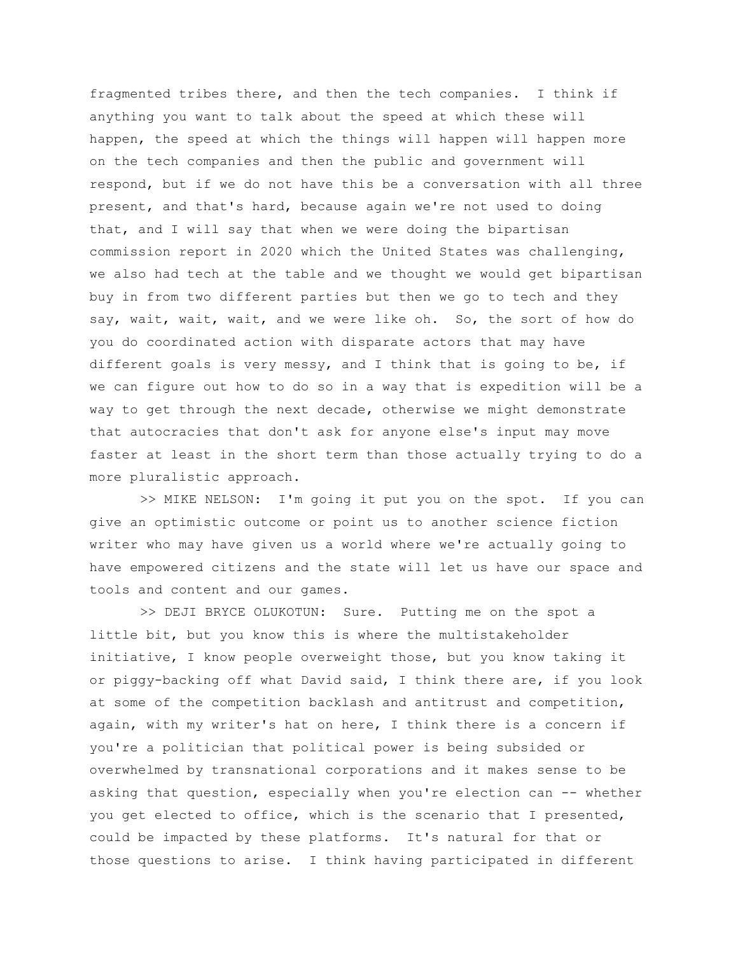fragmented tribes there, and then the tech companies. I think if anything you want to talk about the speed at which these will happen, the speed at which the things will happen will happen more on the tech companies and then the public and government will respond, but if we do not have this be a conversation with all three present, and that's hard, because again we're not used to doing that, and I will say that when we were doing the bipartisan commission report in 2020 which the United States was challenging, we also had tech at the table and we thought we would get bipartisan buy in from two different parties but then we go to tech and they say, wait, wait, wait, and we were like oh. So, the sort of how do you do coordinated action with disparate actors that may have different goals is very messy, and I think that is going to be, if we can figure out how to do so in a way that is expedition will be a way to get through the next decade, otherwise we might demonstrate that autocracies that don't ask for anyone else's input may move faster at least in the short term than those actually trying to do a more pluralistic approach.

>> MIKE NELSON: I'm going it put you on the spot. If you can give an optimistic outcome or point us to another science fiction writer who may have given us a world where we're actually going to have empowered citizens and the state will let us have our space and tools and content and our games.

>> DEJI BRYCE OLUKOTUN: Sure. Putting me on the spot a little bit, but you know this is where the multistakeholder initiative, I know people overweight those, but you know taking it or piggy-backing off what David said, I think there are, if you look at some of the competition backlash and antitrust and competition, again, with my writer's hat on here, I think there is a concern if you're a politician that political power is being subsided or overwhelmed by transnational corporations and it makes sense to be asking that question, especially when you're election can -- whether you get elected to office, which is the scenario that I presented, could be impacted by these platforms. It's natural for that or those questions to arise. I think having participated in different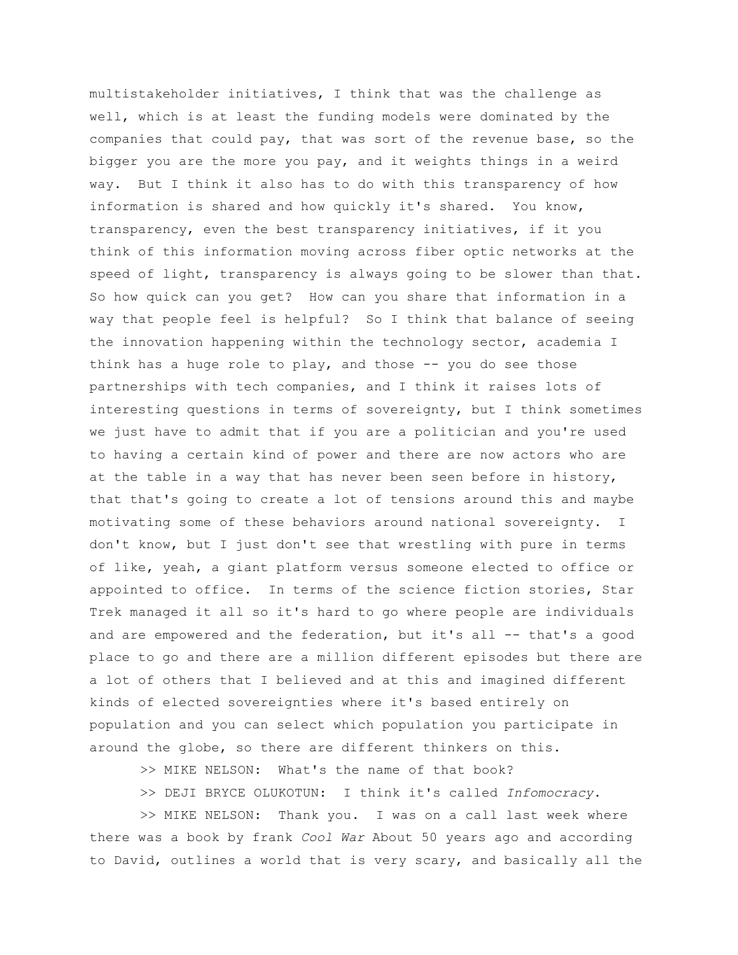multistakeholder initiatives, I think that was the challenge as well, which is at least the funding models were dominated by the companies that could pay, that was sort of the revenue base, so the bigger you are the more you pay, and it weights things in a weird way. But I think it also has to do with this transparency of how information is shared and how quickly it's shared. You know, transparency, even the best transparency initiatives, if it you think of this information moving across fiber optic networks at the speed of light, transparency is always going to be slower than that. So how quick can you get? How can you share that information in a way that people feel is helpful? So I think that balance of seeing the innovation happening within the technology sector, academia I think has a huge role to play, and those -- you do see those partnerships with tech companies, and I think it raises lots of interesting questions in terms of sovereignty, but I think sometimes we just have to admit that if you are a politician and you're used to having a certain kind of power and there are now actors who are at the table in a way that has never been seen before in history, that that's going to create a lot of tensions around this and maybe motivating some of these behaviors around national sovereignty. I don't know, but I just don't see that wrestling with pure in terms of like, yeah, a giant platform versus someone elected to office or appointed to office. In terms of the science fiction stories, Star Trek managed it all so it's hard to go where people are individuals and are empowered and the federation, but it's all -- that's a good place to go and there are a million different episodes but there are a lot of others that I believed and at this and imagined different kinds of elected sovereignties where it's based entirely on population and you can select which population you participate in around the globe, so there are different thinkers on this.

>> MIKE NELSON: What's the name of that book?

>> DEJI BRYCE OLUKOTUN: I think it's called *Infomocracy*.

>> MIKE NELSON: Thank you. I was on a call last week where there was a book by frank *Cool War* About 50 years ago and according to David, outlines a world that is very scary, and basically all the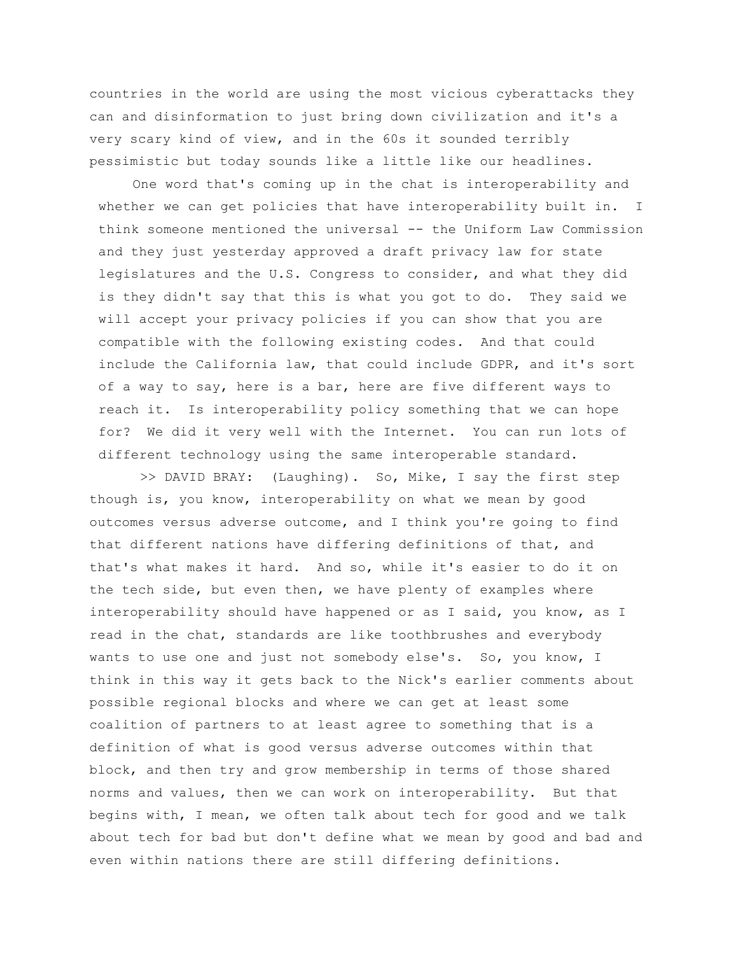countries in the world are using the most vicious cyberattacks they can and disinformation to just bring down civilization and it's a very scary kind of view, and in the 60s it sounded terribly pessimistic but today sounds like a little like our headlines.

One word that's coming up in the chat is interoperability and whether we can get policies that have interoperability built in. I think someone mentioned the universal -- the Uniform Law Commission and they just yesterday approved a draft privacy law for state legislatures and the U.S. Congress to consider, and what they did is they didn't say that this is what you got to do. They said we will accept your privacy policies if you can show that you are compatible with the following existing codes. And that could include the California law, that could include GDPR, and it's sort of a way to say, here is a bar, here are five different ways to reach it. Is interoperability policy something that we can hope for? We did it very well with the Internet. You can run lots of different technology using the same interoperable standard.

>> DAVID BRAY: (Laughing). So, Mike, I say the first step though is, you know, interoperability on what we mean by good outcomes versus adverse outcome, and I think you're going to find that different nations have differing definitions of that, and that's what makes it hard. And so, while it's easier to do it on the tech side, but even then, we have plenty of examples where interoperability should have happened or as I said, you know, as I read in the chat, standards are like toothbrushes and everybody wants to use one and just not somebody else's. So, you know, I think in this way it gets back to the Nick's earlier comments about possible regional blocks and where we can get at least some coalition of partners to at least agree to something that is a definition of what is good versus adverse outcomes within that block, and then try and grow membership in terms of those shared norms and values, then we can work on interoperability. But that begins with, I mean, we often talk about tech for good and we talk about tech for bad but don't define what we mean by good and bad and even within nations there are still differing definitions.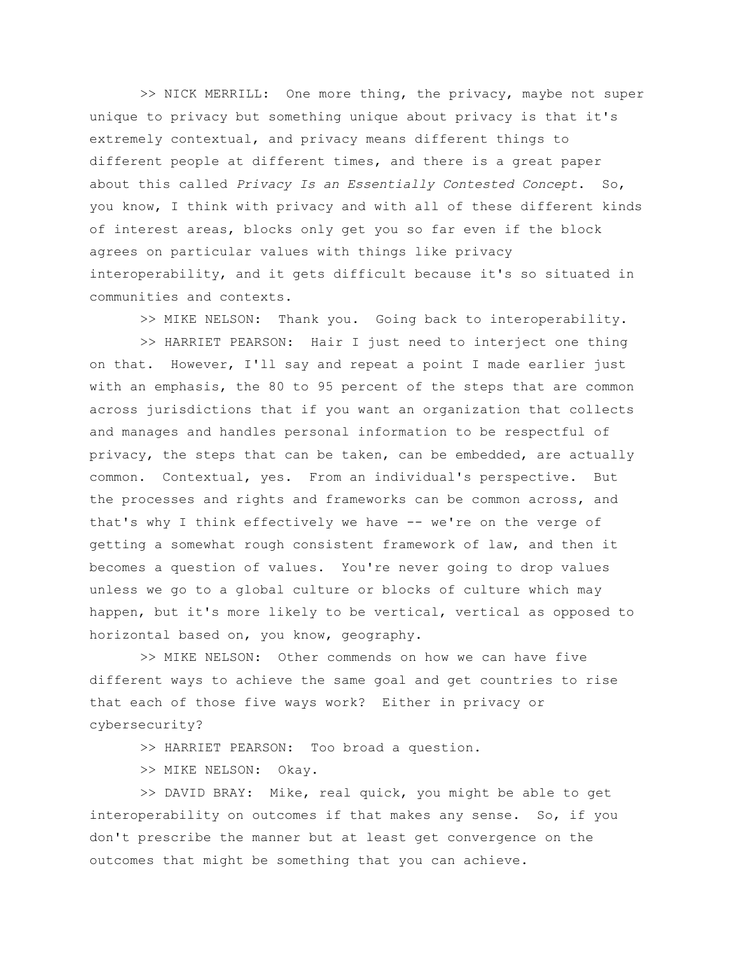>> NICK MERRILL: One more thing, the privacy, maybe not super unique to privacy but something unique about privacy is that it's extremely contextual, and privacy means different things to different people at different times, and there is a great paper about this called *Privacy Is an Essentially Contested Concept*. So, you know, I think with privacy and with all of these different kinds of interest areas, blocks only get you so far even if the block agrees on particular values with things like privacy interoperability, and it gets difficult because it's so situated in communities and contexts.

>> MIKE NELSON: Thank you. Going back to interoperability.

>> HARRIET PEARSON: Hair I just need to interject one thing on that. However, I'll say and repeat a point I made earlier just with an emphasis, the 80 to 95 percent of the steps that are common across jurisdictions that if you want an organization that collects and manages and handles personal information to be respectful of privacy, the steps that can be taken, can be embedded, are actually common. Contextual, yes. From an individual's perspective. But the processes and rights and frameworks can be common across, and that's why I think effectively we have -- we're on the verge of getting a somewhat rough consistent framework of law, and then it becomes a question of values. You're never going to drop values unless we go to a global culture or blocks of culture which may happen, but it's more likely to be vertical, vertical as opposed to horizontal based on, you know, geography.

>> MIKE NELSON: Other commends on how we can have five different ways to achieve the same goal and get countries to rise that each of those five ways work? Either in privacy or cybersecurity?

>> HARRIET PEARSON: Too broad a question.

>> MIKE NELSON: Okay.

>> DAVID BRAY: Mike, real quick, you might be able to get interoperability on outcomes if that makes any sense. So, if you don't prescribe the manner but at least get convergence on the outcomes that might be something that you can achieve.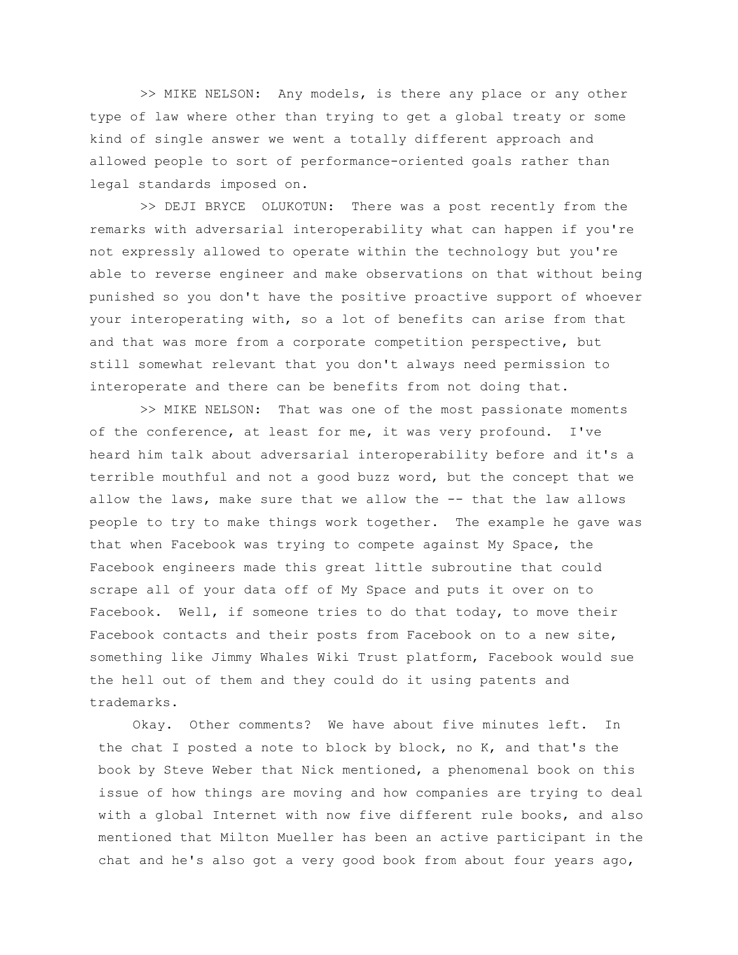>> MIKE NELSON: Any models, is there any place or any other type of law where other than trying to get a global treaty or some kind of single answer we went a totally different approach and allowed people to sort of performance-oriented goals rather than legal standards imposed on.

>> DEJI BRYCE OLUKOTUN: There was a post recently from the remarks with adversarial interoperability what can happen if you're not expressly allowed to operate within the technology but you're able to reverse engineer and make observations on that without being punished so you don't have the positive proactive support of whoever your interoperating with, so a lot of benefits can arise from that and that was more from a corporate competition perspective, but still somewhat relevant that you don't always need permission to interoperate and there can be benefits from not doing that.

>> MIKE NELSON: That was one of the most passionate moments of the conference, at least for me, it was very profound. I've heard him talk about adversarial interoperability before and it's a terrible mouthful and not a good buzz word, but the concept that we allow the laws, make sure that we allow the -- that the law allows people to try to make things work together. The example he gave was that when Facebook was trying to compete against My Space, the Facebook engineers made this great little subroutine that could scrape all of your data off of My Space and puts it over on to Facebook. Well, if someone tries to do that today, to move their Facebook contacts and their posts from Facebook on to a new site, something like Jimmy Whales Wiki Trust platform, Facebook would sue the hell out of them and they could do it using patents and trademarks.

Okay. Other comments? We have about five minutes left. In the chat I posted a note to block by block, no K, and that's the book by Steve Weber that Nick mentioned, a phenomenal book on this issue of how things are moving and how companies are trying to deal with a global Internet with now five different rule books, and also mentioned that Milton Mueller has been an active participant in the chat and he's also got a very good book from about four years ago,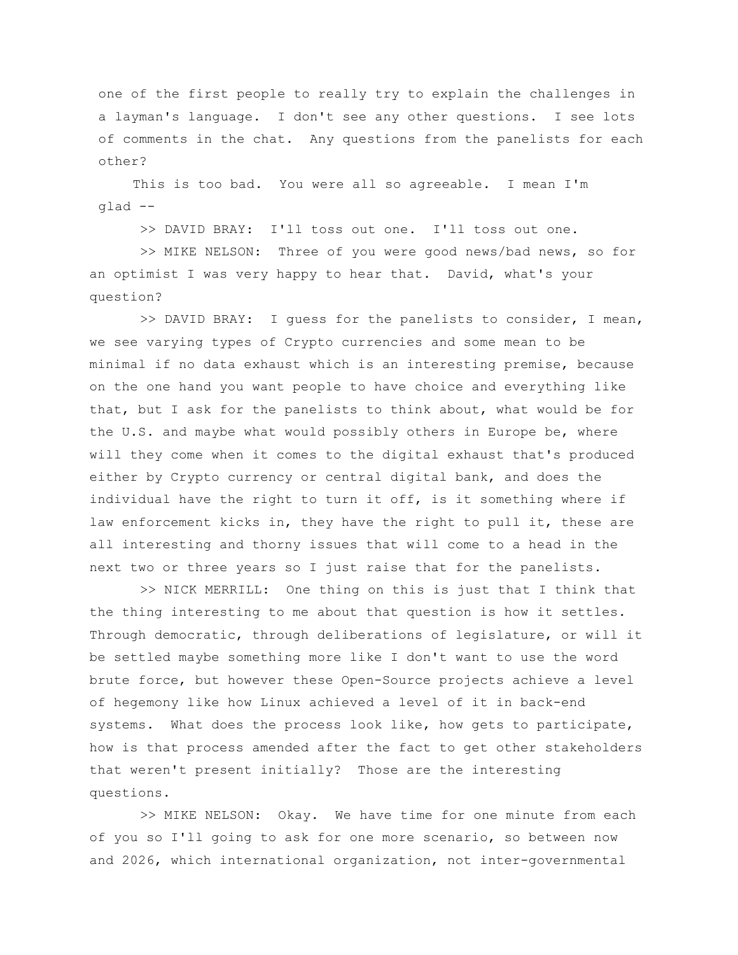one of the first people to really try to explain the challenges in a layman's language. I don't see any other questions. I see lots of comments in the chat. Any questions from the panelists for each other?

This is too bad. You were all so agreeable. I mean I'm glad --

>> DAVID BRAY: I'll toss out one. I'll toss out one.

>> MIKE NELSON: Three of you were good news/bad news, so for an optimist I was very happy to hear that. David, what's your question?

>> DAVID BRAY: I guess for the panelists to consider, I mean, we see varying types of Crypto currencies and some mean to be minimal if no data exhaust which is an interesting premise, because on the one hand you want people to have choice and everything like that, but I ask for the panelists to think about, what would be for the U.S. and maybe what would possibly others in Europe be, where will they come when it comes to the digital exhaust that's produced either by Crypto currency or central digital bank, and does the individual have the right to turn it off, is it something where if law enforcement kicks in, they have the right to pull it, these are all interesting and thorny issues that will come to a head in the next two or three years so I just raise that for the panelists.

>> NICK MERRILL: One thing on this is just that I think that the thing interesting to me about that question is how it settles. Through democratic, through deliberations of legislature, or will it be settled maybe something more like I don't want to use the word brute force, but however these Open-Source projects achieve a level of hegemony like how Linux achieved a level of it in back-end systems. What does the process look like, how gets to participate, how is that process amended after the fact to get other stakeholders that weren't present initially? Those are the interesting questions.

>> MIKE NELSON: Okay. We have time for one minute from each of you so I'll going to ask for one more scenario, so between now and 2026, which international organization, not inter-governmental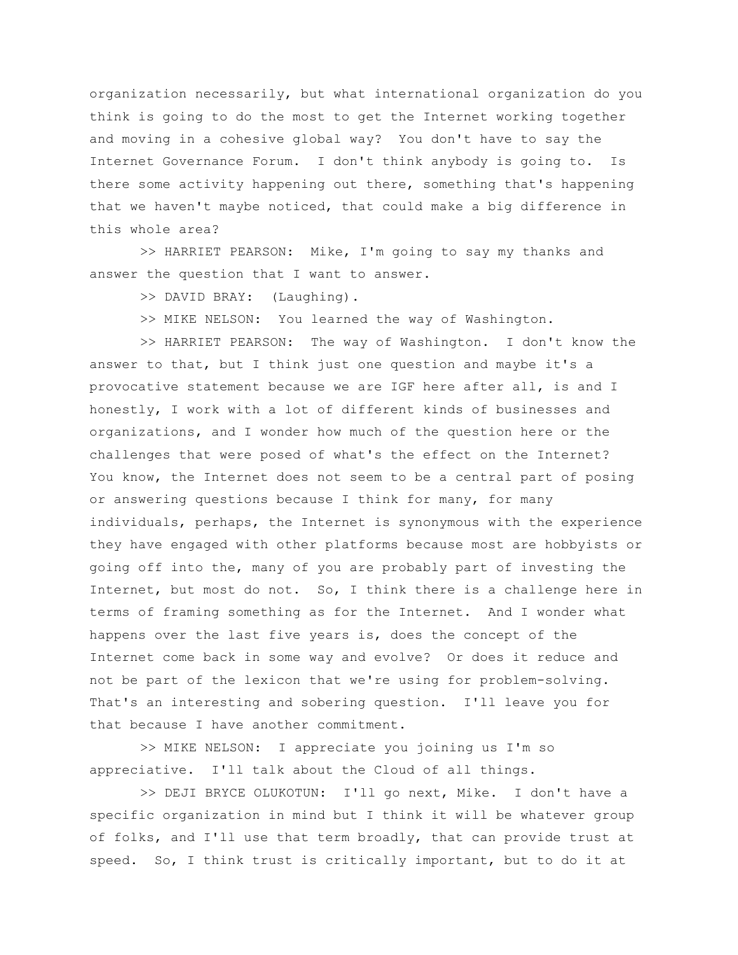organization necessarily, but what international organization do you think is going to do the most to get the Internet working together and moving in a cohesive global way? You don't have to say the Internet Governance Forum. I don't think anybody is going to. Is there some activity happening out there, something that's happening that we haven't maybe noticed, that could make a big difference in this whole area?

>> HARRIET PEARSON: Mike, I'm going to say my thanks and answer the question that I want to answer.

>> DAVID BRAY: (Laughing).

>> MIKE NELSON: You learned the way of Washington.

>> HARRIET PEARSON: The way of Washington. I don't know the answer to that, but I think just one question and maybe it's a provocative statement because we are IGF here after all, is and I honestly, I work with a lot of different kinds of businesses and organizations, and I wonder how much of the question here or the challenges that were posed of what's the effect on the Internet? You know, the Internet does not seem to be a central part of posing or answering questions because I think for many, for many individuals, perhaps, the Internet is synonymous with the experience they have engaged with other platforms because most are hobbyists or going off into the, many of you are probably part of investing the Internet, but most do not. So, I think there is a challenge here in terms of framing something as for the Internet. And I wonder what happens over the last five years is, does the concept of the Internet come back in some way and evolve? Or does it reduce and not be part of the lexicon that we're using for problem-solving. That's an interesting and sobering question. I'll leave you for that because I have another commitment.

>> MIKE NELSON: I appreciate you joining us I'm so appreciative. I'll talk about the Cloud of all things.

>> DEJI BRYCE OLUKOTUN: I'll go next, Mike. I don't have a specific organization in mind but I think it will be whatever group of folks, and I'll use that term broadly, that can provide trust at speed. So, I think trust is critically important, but to do it at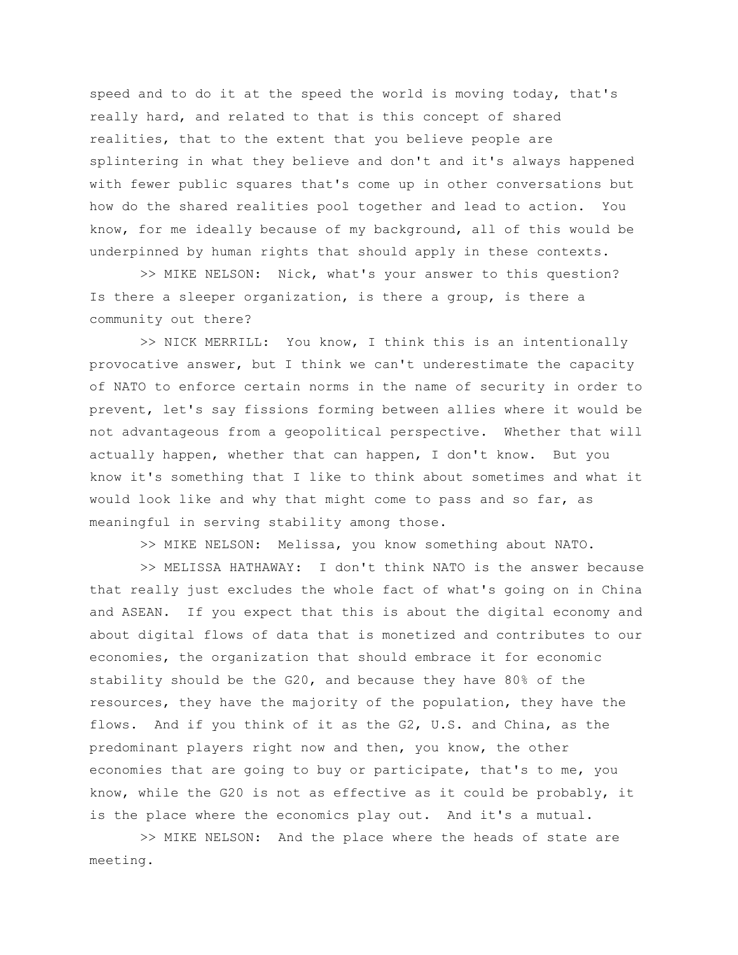speed and to do it at the speed the world is moving today, that's really hard, and related to that is this concept of shared realities, that to the extent that you believe people are splintering in what they believe and don't and it's always happened with fewer public squares that's come up in other conversations but how do the shared realities pool together and lead to action. You know, for me ideally because of my background, all of this would be underpinned by human rights that should apply in these contexts.

>> MIKE NELSON: Nick, what's your answer to this question? Is there a sleeper organization, is there a group, is there a community out there?

>> NICK MERRILL: You know, I think this is an intentionally provocative answer, but I think we can't underestimate the capacity of NATO to enforce certain norms in the name of security in order to prevent, let's say fissions forming between allies where it would be not advantageous from a geopolitical perspective. Whether that will actually happen, whether that can happen, I don't know. But you know it's something that I like to think about sometimes and what it would look like and why that might come to pass and so far, as meaningful in serving stability among those.

>> MIKE NELSON: Melissa, you know something about NATO.

>> MELISSA HATHAWAY: I don't think NATO is the answer because that really just excludes the whole fact of what's going on in China and ASEAN. If you expect that this is about the digital economy and about digital flows of data that is monetized and contributes to our economies, the organization that should embrace it for economic stability should be the G20, and because they have 80% of the resources, they have the majority of the population, they have the flows. And if you think of it as the G2, U.S. and China, as the predominant players right now and then, you know, the other economies that are going to buy or participate, that's to me, you know, while the G20 is not as effective as it could be probably, it is the place where the economics play out. And it's a mutual.

>> MIKE NELSON: And the place where the heads of state are meeting.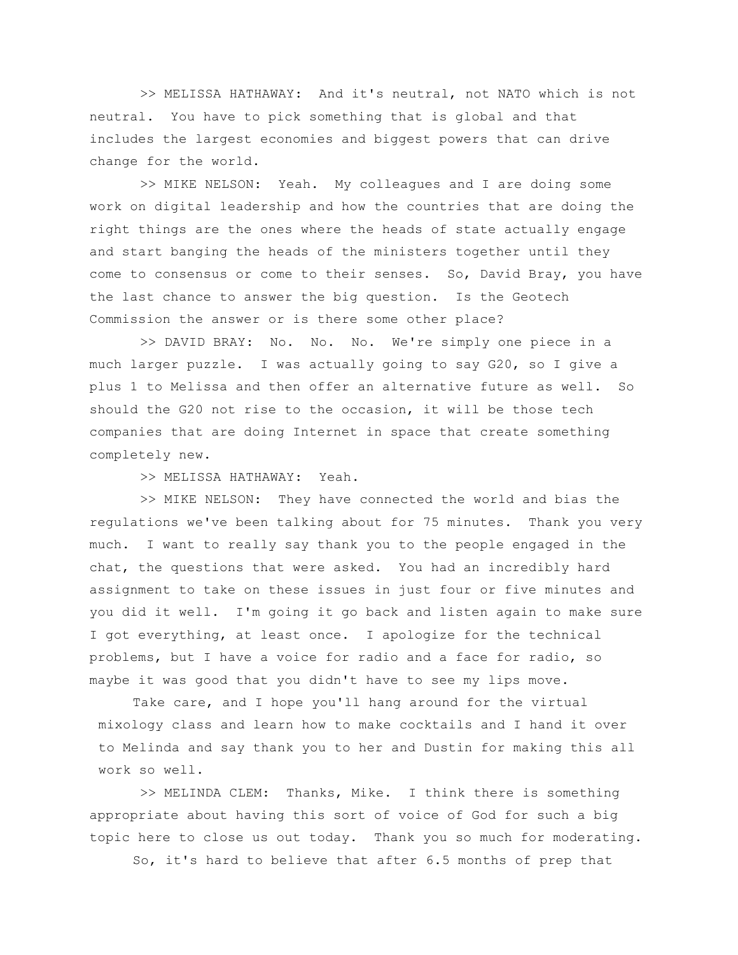>> MELISSA HATHAWAY: And it's neutral, not NATO which is not neutral. You have to pick something that is global and that includes the largest economies and biggest powers that can drive change for the world.

>> MIKE NELSON: Yeah. My colleagues and I are doing some work on digital leadership and how the countries that are doing the right things are the ones where the heads of state actually engage and start banging the heads of the ministers together until they come to consensus or come to their senses. So, David Bray, you have the last chance to answer the big question. Is the Geotech Commission the answer or is there some other place?

>> DAVID BRAY: No. No. No. We're simply one piece in a much larger puzzle. I was actually going to say G20, so I give a plus 1 to Melissa and then offer an alternative future as well. So should the G20 not rise to the occasion, it will be those tech companies that are doing Internet in space that create something completely new.

>> MELISSA HATHAWAY: Yeah.

>> MIKE NELSON: They have connected the world and bias the regulations we've been talking about for 75 minutes. Thank you very much. I want to really say thank you to the people engaged in the chat, the questions that were asked. You had an incredibly hard assignment to take on these issues in just four or five minutes and you did it well. I'm going it go back and listen again to make sure I got everything, at least once. I apologize for the technical problems, but I have a voice for radio and a face for radio, so maybe it was good that you didn't have to see my lips move.

Take care, and I hope you'll hang around for the virtual mixology class and learn how to make cocktails and I hand it over to Melinda and say thank you to her and Dustin for making this all work so well.

>> MELINDA CLEM: Thanks, Mike. I think there is something appropriate about having this sort of voice of God for such a big topic here to close us out today. Thank you so much for moderating.

So, it's hard to believe that after 6.5 months of prep that